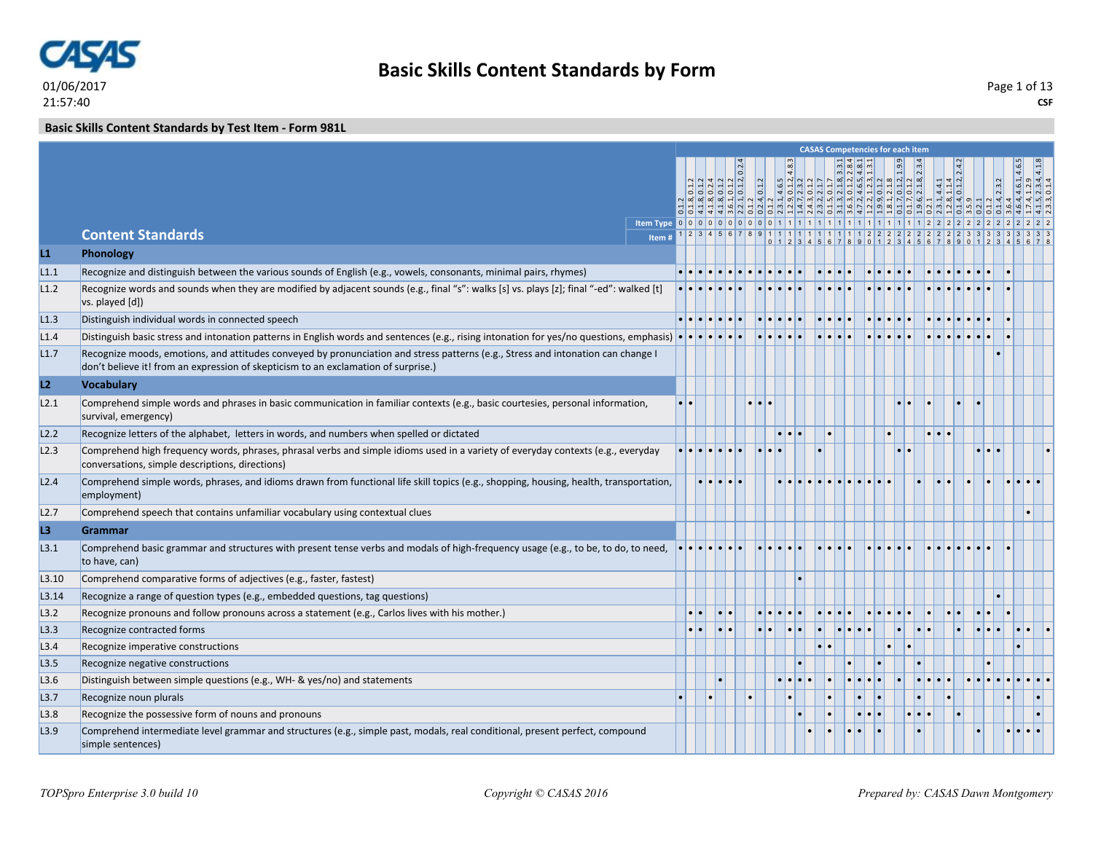

#### **Basic Skills Content Standards by Test Item - Form 981L**

|       |                                                                                                                                                                                                                        |                 |     |                                     |  |  |  | <b>CASAS Competencies for each item</b> |           |                         |  |                 |                                                          |  |
|-------|------------------------------------------------------------------------------------------------------------------------------------------------------------------------------------------------------------------------|-----------------|-----|-------------------------------------|--|--|--|-----------------------------------------|-----------|-------------------------|--|-----------------|----------------------------------------------------------|--|
|       |                                                                                                                                                                                                                        |                 |     |                                     |  |  |  |                                         |           |                         |  |                 | $.4.6.1, 4.6.5$<br>$.12.9$<br>$.2.3.4, 4.1.8$<br>$0.1.4$ |  |
|       |                                                                                                                                                                                                                        |                 |     |                                     |  |  |  |                                         |           |                         |  |                 |                                                          |  |
|       |                                                                                                                                                                                                                        |                 |     |                                     |  |  |  |                                         |           |                         |  |                 |                                                          |  |
|       |                                                                                                                                                                                                                        |                 |     |                                     |  |  |  |                                         |           |                         |  |                 |                                                          |  |
|       | <b>Content Standards</b><br>Item #                                                                                                                                                                                     |                 |     | $1 \ 2 \ 3 \ 4 \ 5 \ 6 \ 7 \ 8 \ 9$ |  |  |  |                                         |           |                         |  |                 |                                                          |  |
| L1    | Phonology                                                                                                                                                                                                              |                 |     |                                     |  |  |  |                                         |           |                         |  |                 |                                                          |  |
| L1.1  | Recognize and distinguish between the various sounds of English (e.g., vowels, consonants, minimal pairs, rhymes)                                                                                                      |                 |     |                                     |  |  |  |                                         |           |                         |  |                 |                                                          |  |
| L1.2  | Recognize words and sounds when they are modified by adjacent sounds (e.g., final "s": walks [s] vs. plays [z]; final "-ed": walked [t]<br>vs. played [d])                                                             |                 |     |                                     |  |  |  |                                         |           |                         |  |                 |                                                          |  |
| L1.3  | Distinguish individual words in connected speech                                                                                                                                                                       |                 |     |                                     |  |  |  |                                         |           |                         |  |                 |                                                          |  |
| L1.4  | Distinguish basic stress and intonation patterns in English words and sentences (e.g., rising intonation for yes/no questions, emphasis) $\cdot \cdot \cdot$                                                           |                 |     |                                     |  |  |  |                                         |           |                         |  |                 |                                                          |  |
| L1.7  | Recognize moods, emotions, and attitudes conveyed by pronunciation and stress patterns (e.g., Stress and intonation can change I<br>don't believe it! from an expression of skepticism to an exclamation of surprise.) |                 |     |                                     |  |  |  |                                         |           |                         |  |                 |                                                          |  |
| L2    | <b>Vocabulary</b>                                                                                                                                                                                                      |                 |     |                                     |  |  |  |                                         |           |                         |  |                 |                                                          |  |
| L2.1  | Comprehend simple words and phrases in basic communication in familiar contexts (e.g., basic courtesies, personal information,<br>survival, emergency)                                                                 | $\cdot$ $\cdot$ |     |                                     |  |  |  |                                         |           |                         |  |                 |                                                          |  |
| L2.2  | Recognize letters of the alphabet, letters in words, and numbers when spelled or dictated                                                                                                                              |                 |     |                                     |  |  |  |                                         | $\bullet$ |                         |  |                 |                                                          |  |
| L2.3  | Comprehend high frequency words, phrases, phrasal verbs and simple idioms used in a variety of everyday contexts (e.g., everyday<br>conversations, simple descriptions, directions)                                    |                 |     |                                     |  |  |  |                                         |           |                         |  | $\cdot$ $\cdot$ |                                                          |  |
| L2.4  | Comprehend simple words, phrases, and idioms drawn from functional life skill topics (e.g., shopping, housing, health, transportation,<br>employment)                                                                  |                 |     |                                     |  |  |  |                                         |           |                         |  |                 |                                                          |  |
| L2.7  | Comprehend speech that contains unfamiliar vocabulary using contextual clues                                                                                                                                           |                 |     |                                     |  |  |  |                                         |           |                         |  |                 |                                                          |  |
| L3    | <b>Grammar</b>                                                                                                                                                                                                         |                 |     |                                     |  |  |  |                                         |           |                         |  |                 |                                                          |  |
| L3.1  | Comprehend basic grammar and structures with present tense verbs and modals of high-frequency usage (e.g., to be, to do, to need,<br>to have, can)                                                                     |                 |     |                                     |  |  |  |                                         |           |                         |  |                 |                                                          |  |
| L3.10 | Comprehend comparative forms of adjectives (e.g., faster, fastest)                                                                                                                                                     |                 |     |                                     |  |  |  |                                         |           |                         |  |                 |                                                          |  |
| L3.14 | Recognize a range of question types (e.g., embedded questions, tag questions)                                                                                                                                          |                 |     |                                     |  |  |  |                                         |           |                         |  |                 |                                                          |  |
| L3.2  | Recognize pronouns and follow pronouns across a statement (e.g., Carlos lives with his mother.)                                                                                                                        |                 | . . |                                     |  |  |  |                                         |           |                         |  |                 |                                                          |  |
| L3.3  | Recognize contracted forms                                                                                                                                                                                             |                 | . . |                                     |  |  |  |                                         |           |                         |  |                 |                                                          |  |
| L3.4  | Recognize imperative constructions                                                                                                                                                                                     |                 |     |                                     |  |  |  |                                         | $\bullet$ |                         |  |                 |                                                          |  |
| L3.5  | Recognize negative constructions                                                                                                                                                                                       |                 |     |                                     |  |  |  |                                         |           |                         |  |                 |                                                          |  |
| L3.6  | Distinguish between simple questions (e.g., WH- & yes/no) and statements                                                                                                                                               |                 |     |                                     |  |  |  |                                         |           |                         |  |                 |                                                          |  |
| L3.7  | Recognize noun plurals                                                                                                                                                                                                 |                 |     |                                     |  |  |  |                                         |           |                         |  |                 |                                                          |  |
| L3.8  | Recognize the possessive form of nouns and pronouns                                                                                                                                                                    |                 |     |                                     |  |  |  |                                         |           | $\bullet\bullet\bullet$ |  |                 |                                                          |  |
| L3.9  | Comprehend intermediate level grammar and structures (e.g., simple past, modals, real conditional, present perfect, compound<br>simple sentences)                                                                      |                 |     |                                     |  |  |  |                                         |           |                         |  |                 |                                                          |  |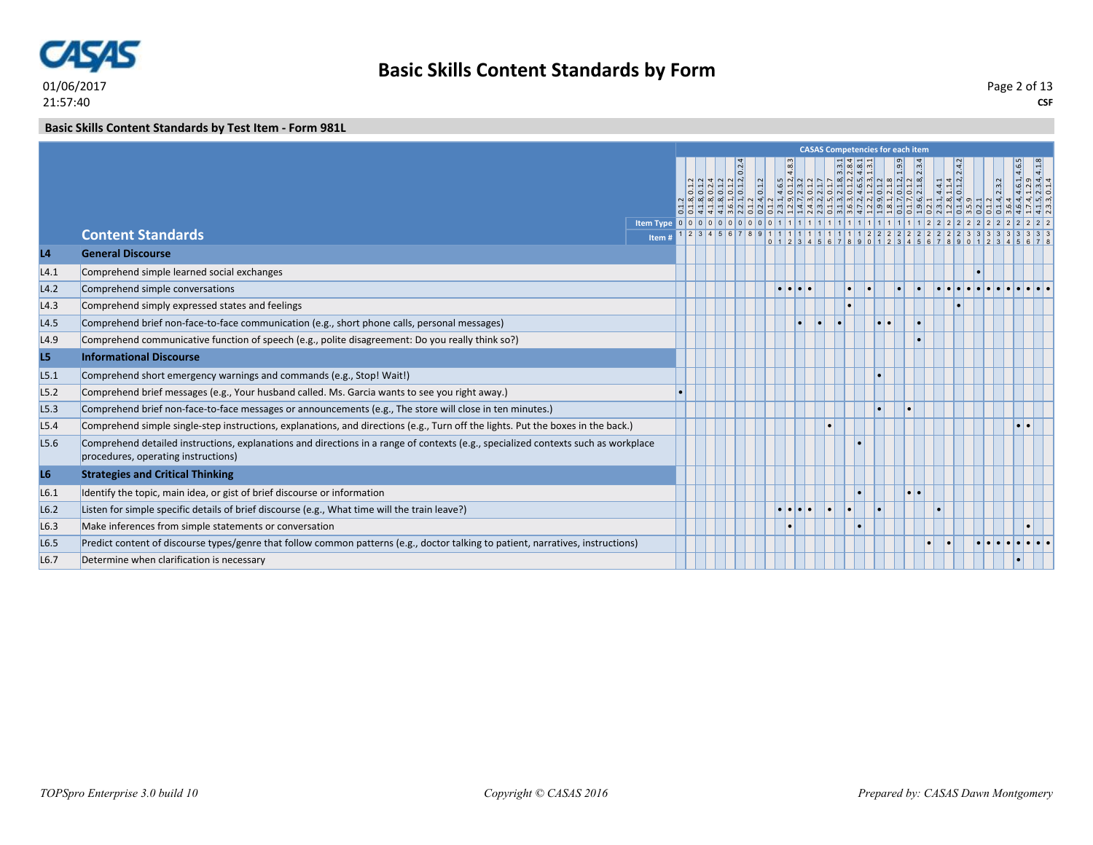

#### **Basic Skills Content Standards by Test Item - Form 981L**

|                  |                                                                                                                                                                           |        |  |  |  |  | <b>CASAS Competencies for each item</b> |           |  |  |                                                                                                                                                                                                                                               |                                                                           |  |
|------------------|---------------------------------------------------------------------------------------------------------------------------------------------------------------------------|--------|--|--|--|--|-----------------------------------------|-----------|--|--|-----------------------------------------------------------------------------------------------------------------------------------------------------------------------------------------------------------------------------------------------|---------------------------------------------------------------------------|--|
|                  |                                                                                                                                                                           |        |  |  |  |  |                                         |           |  |  | 0.18, 0.12<br>4.18, 0.12<br>4.18, 0.12, 0.12, 0.13, 0.13, 0.13, 0.13<br>4.18, 0.13, 0.13, 0.13, 4.8.5<br>6.13, 0.13, 0.13, 0.13, 0.13, 1.13, 1.13, 1.13, 1.13, 1.13, 1.13, 0.13, 0.13, 0.13, 1.13<br>5.13, 0.13, 0.13, 0.13, 0.13, 1.13, 1.13 | $1.4, 4.6.1, 4.6.5$<br>$1.4, 1.2.9$<br>$-5, 2.3.4, 4.1.8$<br>$1.3, 0.1.4$ |  |
|                  |                                                                                                                                                                           |        |  |  |  |  |                                         |           |  |  |                                                                                                                                                                                                                                               |                                                                           |  |
|                  | <b>Content Standards</b>                                                                                                                                                  | Item # |  |  |  |  |                                         |           |  |  |                                                                                                                                                                                                                                               |                                                                           |  |
| L <sub>4</sub>   | <b>General Discourse</b>                                                                                                                                                  |        |  |  |  |  |                                         |           |  |  |                                                                                                                                                                                                                                               |                                                                           |  |
| L4.1             | Comprehend simple learned social exchanges                                                                                                                                |        |  |  |  |  |                                         |           |  |  |                                                                                                                                                                                                                                               |                                                                           |  |
| L4.2             | Comprehend simple conversations                                                                                                                                           |        |  |  |  |  | $\bullet$                               |           |  |  |                                                                                                                                                                                                                                               |                                                                           |  |
| L4.3             | Comprehend simply expressed states and feelings                                                                                                                           |        |  |  |  |  |                                         |           |  |  |                                                                                                                                                                                                                                               |                                                                           |  |
| L4.5             | Comprehend brief non-face-to-face communication (e.g., short phone calls, personal messages)                                                                              |        |  |  |  |  |                                         | $\bullet$ |  |  |                                                                                                                                                                                                                                               |                                                                           |  |
| L4.9             | Comprehend communicative function of speech (e.g., polite disagreement: Do you really think so?)                                                                          |        |  |  |  |  |                                         |           |  |  |                                                                                                                                                                                                                                               |                                                                           |  |
| L5               | <b>Informational Discourse</b>                                                                                                                                            |        |  |  |  |  |                                         |           |  |  |                                                                                                                                                                                                                                               |                                                                           |  |
| L5.1             | Comprehend short emergency warnings and commands (e.g., Stop! Wait!)                                                                                                      |        |  |  |  |  |                                         |           |  |  |                                                                                                                                                                                                                                               |                                                                           |  |
| L5.2             | Comprehend brief messages (e.g., Your husband called. Ms. Garcia wants to see you right away.)                                                                            |        |  |  |  |  |                                         |           |  |  |                                                                                                                                                                                                                                               |                                                                           |  |
| L <sub>5.3</sub> | Comprehend brief non-face-to-face messages or announcements (e.g., The store will close in ten minutes.)                                                                  |        |  |  |  |  |                                         |           |  |  |                                                                                                                                                                                                                                               |                                                                           |  |
| L5.4             | Comprehend simple single-step instructions, explanations, and directions (e.g., Turn off the lights. Put the boxes in the back.)                                          |        |  |  |  |  |                                         |           |  |  |                                                                                                                                                                                                                                               |                                                                           |  |
| L5.6             | Comprehend detailed instructions, explanations and directions in a range of contexts (e.g., specialized contexts such as workplace<br>procedures, operating instructions) |        |  |  |  |  |                                         |           |  |  |                                                                                                                                                                                                                                               |                                                                           |  |
| L <sub>6</sub>   | <b>Strategies and Critical Thinking</b>                                                                                                                                   |        |  |  |  |  |                                         |           |  |  |                                                                                                                                                                                                                                               |                                                                           |  |
| L6.1             | Identify the topic, main idea, or gist of brief discourse or information                                                                                                  |        |  |  |  |  |                                         |           |  |  |                                                                                                                                                                                                                                               |                                                                           |  |
| L6.2             | Listen for simple specific details of brief discourse (e.g., What time will the train leave?)                                                                             |        |  |  |  |  |                                         |           |  |  |                                                                                                                                                                                                                                               |                                                                           |  |
| L6.3             | Make inferences from simple statements or conversation                                                                                                                    |        |  |  |  |  |                                         |           |  |  |                                                                                                                                                                                                                                               |                                                                           |  |
| L6.5             | Predict content of discourse types/genre that follow common patterns (e.g., doctor talking to patient, narratives, instructions)                                          |        |  |  |  |  |                                         |           |  |  |                                                                                                                                                                                                                                               |                                                                           |  |
| L6.7             | Determine when clarification is necessary                                                                                                                                 |        |  |  |  |  |                                         |           |  |  |                                                                                                                                                                                                                                               |                                                                           |  |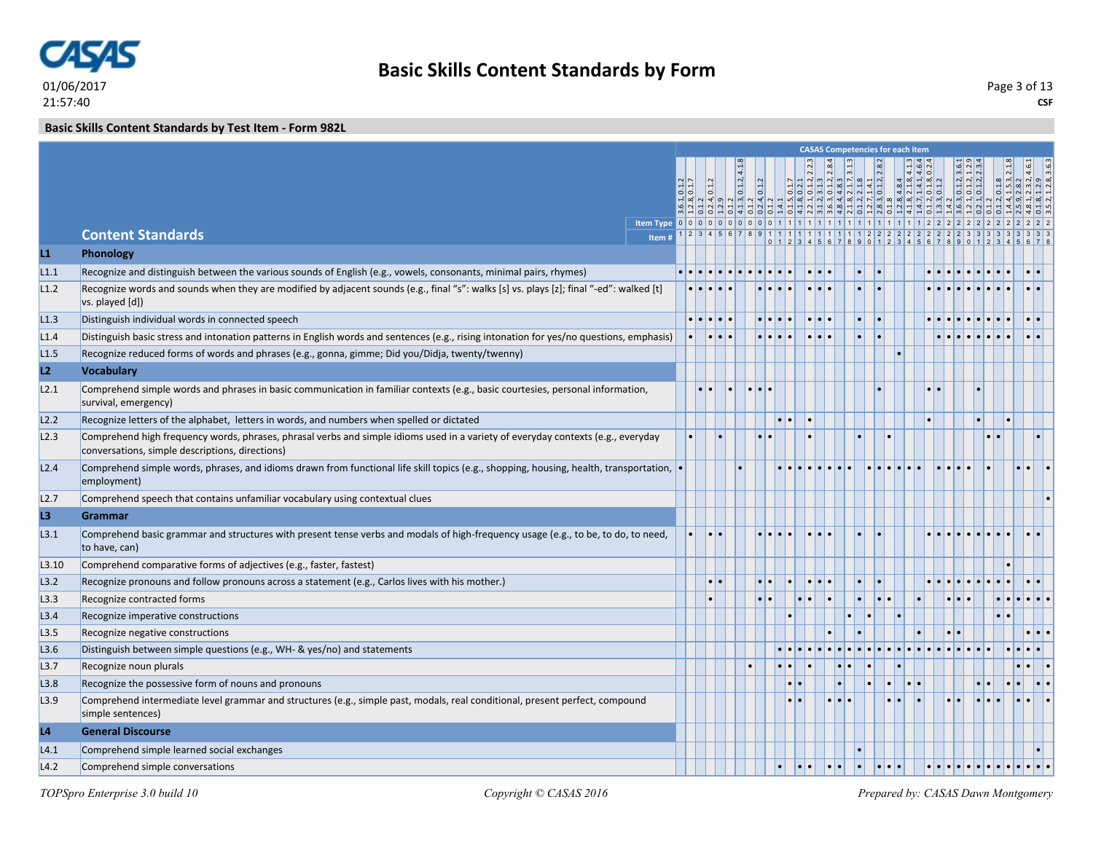

**CSF** Page 3 of 13

**Basic Skills Content Standards by Test Item - Form 982L**

|                |                                                                                                                                                                                     |               |                                       |              |                                                                                                         |           |  |                                                                                                                                                                       | <b>CASAS Competencies for each item</b>                                                                                                                                                                                                                                                                                                                                                                                                                                    |                                                                               |                                                                 |  |  |
|----------------|-------------------------------------------------------------------------------------------------------------------------------------------------------------------------------------|---------------|---------------------------------------|--------------|---------------------------------------------------------------------------------------------------------|-----------|--|-----------------------------------------------------------------------------------------------------------------------------------------------------------------------|----------------------------------------------------------------------------------------------------------------------------------------------------------------------------------------------------------------------------------------------------------------------------------------------------------------------------------------------------------------------------------------------------------------------------------------------------------------------------|-------------------------------------------------------------------------------|-----------------------------------------------------------------|--|--|
|                |                                                                                                                                                                                     |               |                                       |              |                                                                                                         |           |  |                                                                                                                                                                       |                                                                                                                                                                                                                                                                                                                                                                                                                                                                            |                                                                               |                                                                 |  |  |
|                |                                                                                                                                                                                     | $\frac{1}{2}$ | $\frac{1}{2}$                         | 0.1.2, 4.1.8 | $\overline{0.1.2}$                                                                                      |           |  | $\begin{array}{c cc}\n0.2.1 & 0.2.1 \\ 0.1.2, 2.2.3 \\ 3.1.3 & 3.4.3 \\ 0.1.2, 2.8.4 & 0.1.7, 3.1.3 \\ 1.2.1.3 & 1.3. \\ 1.4.1 & 1.4.1 \\ 1.4.1 & 1.4.2\n\end{array}$ |                                                                                                                                                                                                                                                                                                                                                                                                                                                                            | $\begin{array}{c c c c} 2.1.8 & 0.1.8 \\ 1.4.1 & 0.1.2 \\ \hline \end{array}$ | $.01.2, 3.6$<br>$.01.2, 1.1$<br>$.01.2, 2.3$                    |  |  |
|                |                                                                                                                                                                                     |               |                                       |              | $\frac{1}{2}$ مِ إِلَا إِلَا إِلَا إِلَا إِلَا إِلَا إِلَا إِلَا إِلَا إِلَا إِلَا إِلَا إِلَا إِلَا إِ |           |  |                                                                                                                                                                       | $\frac{1}{2} \left  \frac{1}{2} \right  \left  \frac{1}{2} \right  \left  \frac{1}{2} \right  \left  \frac{1}{2} \right  \left  \frac{1}{2} \right  \left  \frac{1}{2} \right  \left  \frac{1}{2} \right  \left  \frac{1}{2} \right  \left  \frac{1}{2} \right  \left  \frac{1}{2} \right  \left  \frac{1}{2} \right  \left  \frac{1}{2} \right  \left  \frac{1}{2} \right  \left  \frac{1}{2} \right  \left  \frac{1}{2} \right  \left  \frac{1}{2} \right  \left  \frac$ |                                                                               | $\sim$ $\sim$ $\sim$ $\sim$                                     |  |  |
|                |                                                                                                                                                                                     |               |                                       |              |                                                                                                         |           |  |                                                                                                                                                                       |                                                                                                                                                                                                                                                                                                                                                                                                                                                                            |                                                                               |                                                                 |  |  |
|                | <b>Content Standards</b><br>Item#                                                                                                                                                   |               |                                       |              |                                                                                                         |           |  |                                                                                                                                                                       |                                                                                                                                                                                                                                                                                                                                                                                                                                                                            |                                                                               | $11111111111111222222222223333$<br>$01234567890123456789012345$ |  |  |
| L1             | Phonology                                                                                                                                                                           |               |                                       |              |                                                                                                         |           |  |                                                                                                                                                                       |                                                                                                                                                                                                                                                                                                                                                                                                                                                                            |                                                                               |                                                                 |  |  |
| L1.1           | Recognize and distinguish between the various sounds of English (e.g., vowels, consonants, minimal pairs, rhymes)                                                                   |               |                                       |              |                                                                                                         |           |  |                                                                                                                                                                       |                                                                                                                                                                                                                                                                                                                                                                                                                                                                            |                                                                               |                                                                 |  |  |
| L1.2           | Recognize words and sounds when they are modified by adjacent sounds (e.g., final "s": walks [s] vs. plays [z]; final "-ed": walked [t]<br>vs. played [d])                          |               |                                       |              |                                                                                                         |           |  |                                                                                                                                                                       |                                                                                                                                                                                                                                                                                                                                                                                                                                                                            |                                                                               |                                                                 |  |  |
| L1.3           | Distinguish individual words in connected speech                                                                                                                                    |               | $\bullet\bullet\bullet\bullet\bullet$ |              |                                                                                                         |           |  |                                                                                                                                                                       |                                                                                                                                                                                                                                                                                                                                                                                                                                                                            |                                                                               |                                                                 |  |  |
| L1.4           | Distinguish basic stress and intonation patterns in English words and sentences (e.g., rising intonation for yes/no questions, emphasis)                                            |               | <u>ie ie ie</u>                       |              |                                                                                                         |           |  |                                                                                                                                                                       |                                                                                                                                                                                                                                                                                                                                                                                                                                                                            |                                                                               |                                                                 |  |  |
| L1.5           | Recognize reduced forms of words and phrases (e.g., gonna, gimme; Did you/Didja, twenty/twenny)                                                                                     |               |                                       |              |                                                                                                         |           |  |                                                                                                                                                                       |                                                                                                                                                                                                                                                                                                                                                                                                                                                                            |                                                                               |                                                                 |  |  |
| L2             | <b>Vocabulary</b>                                                                                                                                                                   |               |                                       |              |                                                                                                         |           |  |                                                                                                                                                                       |                                                                                                                                                                                                                                                                                                                                                                                                                                                                            |                                                                               |                                                                 |  |  |
| L2.1           | Comprehend simple words and phrases in basic communication in familiar contexts (e.g., basic courtesies, personal information,<br>survival, emergency)                              |               |                                       |              |                                                                                                         |           |  |                                                                                                                                                                       |                                                                                                                                                                                                                                                                                                                                                                                                                                                                            |                                                                               |                                                                 |  |  |
| L2.2           | Recognize letters of the alphabet, letters in words, and numbers when spelled or dictated                                                                                           |               |                                       |              |                                                                                                         |           |  |                                                                                                                                                                       |                                                                                                                                                                                                                                                                                                                                                                                                                                                                            |                                                                               |                                                                 |  |  |
| L2.3           | Comprehend high frequency words, phrases, phrasal verbs and simple idioms used in a variety of everyday contexts (e.g., everyday<br>conversations, simple descriptions, directions) |               |                                       |              |                                                                                                         |           |  |                                                                                                                                                                       |                                                                                                                                                                                                                                                                                                                                                                                                                                                                            |                                                                               |                                                                 |  |  |
| L2.4           | Comprehend simple words, phrases, and idioms drawn from functional life skill topics (e.g., shopping, housing, health, transportation,<br>employment)                               |               |                                       |              |                                                                                                         |           |  |                                                                                                                                                                       |                                                                                                                                                                                                                                                                                                                                                                                                                                                                            |                                                                               |                                                                 |  |  |
| L2.7           | Comprehend speech that contains unfamiliar vocabulary using contextual clues                                                                                                        |               |                                       |              |                                                                                                         |           |  |                                                                                                                                                                       |                                                                                                                                                                                                                                                                                                                                                                                                                                                                            |                                                                               |                                                                 |  |  |
| L3             | Grammar                                                                                                                                                                             |               |                                       |              |                                                                                                         |           |  |                                                                                                                                                                       |                                                                                                                                                                                                                                                                                                                                                                                                                                                                            |                                                                               |                                                                 |  |  |
| L3.1           | Comprehend basic grammar and structures with present tense verbs and modals of high-frequency usage (e.g., to be, to do, to need,<br>to have, can)                                  |               |                                       |              |                                                                                                         |           |  |                                                                                                                                                                       |                                                                                                                                                                                                                                                                                                                                                                                                                                                                            |                                                                               |                                                                 |  |  |
| L3.10          | Comprehend comparative forms of adjectives (e.g., faster, fastest)                                                                                                                  |               |                                       |              |                                                                                                         |           |  |                                                                                                                                                                       |                                                                                                                                                                                                                                                                                                                                                                                                                                                                            |                                                                               |                                                                 |  |  |
| L3.2           | Recognize pronouns and follow pronouns across a statement (e.g., Carlos lives with his mother.)                                                                                     |               |                                       |              |                                                                                                         | $\bullet$ |  |                                                                                                                                                                       |                                                                                                                                                                                                                                                                                                                                                                                                                                                                            |                                                                               |                                                                 |  |  |
| L3.3           | Recognize contracted forms                                                                                                                                                          |               |                                       |              |                                                                                                         |           |  |                                                                                                                                                                       |                                                                                                                                                                                                                                                                                                                                                                                                                                                                            |                                                                               |                                                                 |  |  |
| L3.4           | Recognize imperative constructions                                                                                                                                                  |               |                                       |              |                                                                                                         |           |  |                                                                                                                                                                       |                                                                                                                                                                                                                                                                                                                                                                                                                                                                            |                                                                               |                                                                 |  |  |
| L3.5           | Recognize negative constructions                                                                                                                                                    |               |                                       |              |                                                                                                         |           |  |                                                                                                                                                                       |                                                                                                                                                                                                                                                                                                                                                                                                                                                                            |                                                                               |                                                                 |  |  |
| L3.6           | Distinguish between simple questions (e.g., WH- & yes/no) and statements                                                                                                            |               |                                       |              |                                                                                                         |           |  |                                                                                                                                                                       |                                                                                                                                                                                                                                                                                                                                                                                                                                                                            |                                                                               |                                                                 |  |  |
| L3.7           | Recognize noun plurals                                                                                                                                                              |               |                                       |              |                                                                                                         |           |  |                                                                                                                                                                       |                                                                                                                                                                                                                                                                                                                                                                                                                                                                            |                                                                               |                                                                 |  |  |
| L3.8           | Recognize the possessive form of nouns and pronouns                                                                                                                                 |               |                                       |              |                                                                                                         |           |  |                                                                                                                                                                       |                                                                                                                                                                                                                                                                                                                                                                                                                                                                            |                                                                               |                                                                 |  |  |
| L3.9           | Comprehend intermediate level grammar and structures (e.g., simple past, modals, real conditional, present perfect, compound<br>simple sentences)                                   |               |                                       |              |                                                                                                         |           |  |                                                                                                                                                                       |                                                                                                                                                                                                                                                                                                                                                                                                                                                                            |                                                                               |                                                                 |  |  |
| L <sub>4</sub> | <b>General Discourse</b>                                                                                                                                                            |               |                                       |              |                                                                                                         |           |  |                                                                                                                                                                       |                                                                                                                                                                                                                                                                                                                                                                                                                                                                            |                                                                               |                                                                 |  |  |
| L4.1           | Comprehend simple learned social exchanges                                                                                                                                          |               |                                       |              |                                                                                                         |           |  |                                                                                                                                                                       |                                                                                                                                                                                                                                                                                                                                                                                                                                                                            |                                                                               |                                                                 |  |  |
| L4.2           | Comprehend simple conversations                                                                                                                                                     |               |                                       |              |                                                                                                         |           |  |                                                                                                                                                                       |                                                                                                                                                                                                                                                                                                                                                                                                                                                                            |                                                                               |                                                                 |  |  |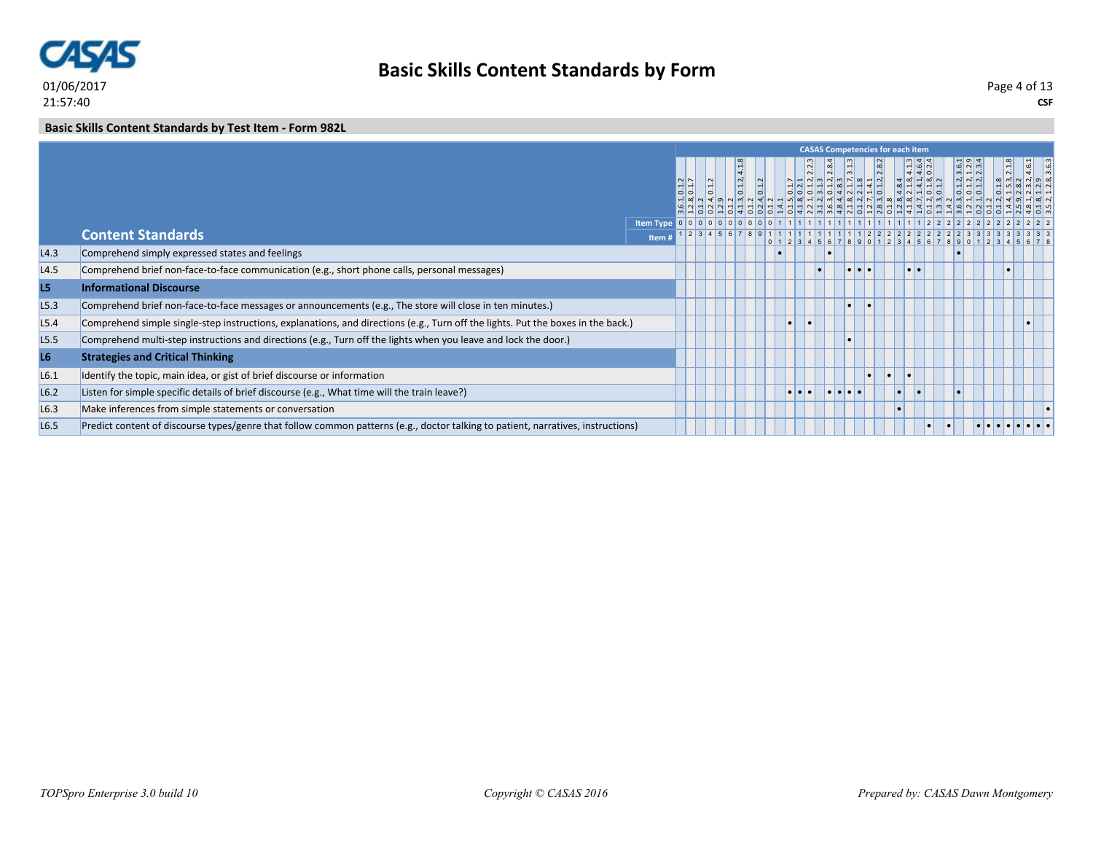

#### **Basic Skills Content Standards by Test Item - Form 982L**

|                  |                                                                                                                                  |                                         |         |       |                            |                    |           |                  |                                                       |                  | <b>CASAS Competencies for each item</b> |                  |                              |                                                                        |                    |       |
|------------------|----------------------------------------------------------------------------------------------------------------------------------|-----------------------------------------|---------|-------|----------------------------|--------------------|-----------|------------------|-------------------------------------------------------|------------------|-----------------------------------------|------------------|------------------------------|------------------------------------------------------------------------|--------------------|-------|
|                  |                                                                                                                                  |                                         | $\circ$ | 0.1.2 | $\overline{4.1}$<br>0.1.2, | $\overline{0.1.2}$ |           |                  | $\omega$ $\omega$ $\omega$ $\omega$ $\omega$ $\omega$ |                  | $\infty$                                | $\infty$         | $-16N$<br> 4 4 0 <br>$-100N$ | $\frac{6}{12}$ $\frac{3}{2}$<br>$ \vec{a}  \vec{a}  \vec{a} $<br>  oil | 2.1.8              | ا نها |
|                  | <b>Content Standards</b>                                                                                                         | k Item Type 0 0 0 0 0 0 0 0 0 0 0 1 1 1 |         |       |                            |                    |           |                  |                                                       |                  |                                         |                  | 2 2 2 2 2 2 2 3 3 3 3 3      |                                                                        |                    |       |
|                  |                                                                                                                                  | Item i                                  |         |       |                            |                    |           |                  |                                                       |                  |                                         |                  |                              |                                                                        | 123456789012345678 |       |
| L4.3             | Comprehend simply expressed states and feelings                                                                                  |                                         |         |       |                            |                    |           |                  |                                                       |                  |                                         |                  |                              |                                                                        |                    |       |
| L4.5             | Comprehend brief non-face-to-face communication (e.g., short phone calls, personal messages)                                     |                                         |         |       |                            |                    |           |                  |                                                       | $\bullet\bullet$ |                                         | $\bullet\bullet$ |                              |                                                                        |                    |       |
| L5               | <b>Informational Discourse</b>                                                                                                   |                                         |         |       |                            |                    |           |                  |                                                       |                  |                                         |                  |                              |                                                                        |                    |       |
| L5.3             | Comprehend brief non-face-to-face messages or announcements (e.g., The store will close in ten minutes.)                         |                                         |         |       |                            |                    |           |                  |                                                       |                  |                                         |                  |                              |                                                                        |                    |       |
| L5.4             | Comprehend simple single-step instructions, explanations, and directions (e.g., Turn off the lights. Put the boxes in the back.) |                                         |         |       |                            |                    | $\bullet$ |                  |                                                       |                  |                                         |                  |                              |                                                                        |                    |       |
| L <sub>5.5</sub> | Comprehend multi-step instructions and directions (e.g., Turn off the lights when you leave and lock the door.)                  |                                         |         |       |                            |                    |           |                  |                                                       |                  |                                         |                  |                              |                                                                        |                    |       |
| L6               | <b>Strategies and Critical Thinking</b>                                                                                          |                                         |         |       |                            |                    |           |                  |                                                       |                  |                                         |                  |                              |                                                                        |                    |       |
| L6.1             | Identify the topic, main idea, or gist of brief discourse or information                                                         |                                         |         |       |                            |                    |           |                  |                                                       | Ы                | $\bullet$                               |                  |                              |                                                                        |                    |       |
| L6.2             | Listen for simple specific details of brief discourse (e.g., What time will the train leave?)                                    |                                         |         |       |                            |                    |           | $\bullet\bullet$ | .                                                     |                  |                                         | I۰               |                              |                                                                        |                    |       |
| L6.3             | Make inferences from simple statements or conversation                                                                           |                                         |         |       |                            |                    |           |                  |                                                       |                  |                                         |                  |                              |                                                                        |                    |       |
| L <sub>6.5</sub> | Predict content of discourse types/genre that follow common patterns (e.g., doctor talking to patient, narratives, instructions) |                                         |         |       |                            |                    |           |                  |                                                       |                  |                                         |                  |                              |                                                                        |                    |       |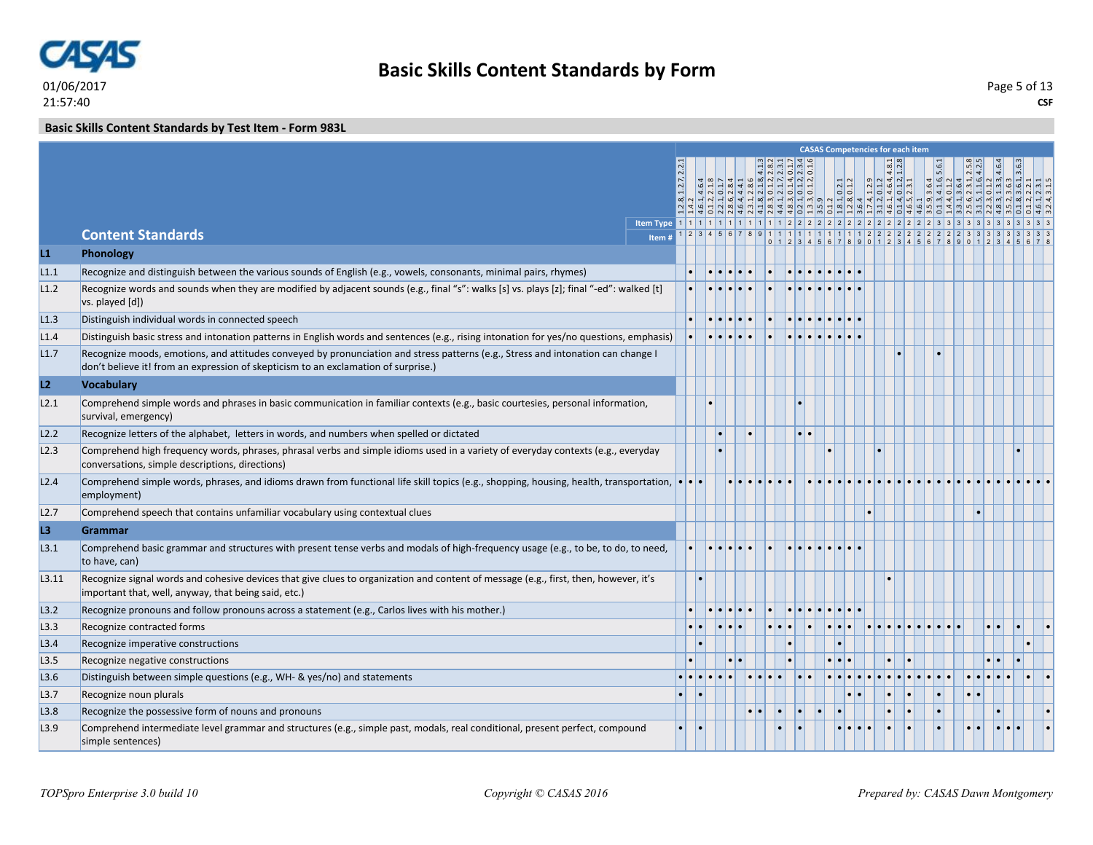

#### **Basic Skills Content Standards by Test Item - Form 983L**

|       |                                                                                                                                                                                                                        |  |                  |                                            |  |        |                  |  |  | <b>CASAS Competencies for each item</b> |     |  |                                                                                                   |       |  |
|-------|------------------------------------------------------------------------------------------------------------------------------------------------------------------------------------------------------------------------|--|------------------|--------------------------------------------|--|--------|------------------|--|--|-----------------------------------------|-----|--|---------------------------------------------------------------------------------------------------|-------|--|
|       |                                                                                                                                                                                                                        |  |                  |                                            |  | NNIQNQ |                  |  |  |                                         |     |  | $\begin{array}{r rrrr}\n & 5.6 \\ -6.55 \\ -1.2 & 2.53 \\ -1.1 & 2.53 \\ -6.4 & 2.5\n\end{array}$ | 3.6.3 |  |
|       |                                                                                                                                                                                                                        |  |                  |                                            |  |        |                  |  |  |                                         |     |  |                                                                                                   |       |  |
|       |                                                                                                                                                                                                                        |  |                  |                                            |  |        |                  |  |  |                                         |     |  |                                                                                                   |       |  |
|       |                                                                                                                                                                                                                        |  |                  |                                            |  |        |                  |  |  |                                         |     |  |                                                                                                   |       |  |
|       | <b>Content Standards</b><br>Item#                                                                                                                                                                                      |  |                  |                                            |  |        |                  |  |  |                                         |     |  |                                                                                                   |       |  |
| L1    | Phonology                                                                                                                                                                                                              |  |                  |                                            |  |        |                  |  |  |                                         |     |  |                                                                                                   |       |  |
| L1.1  | Recognize and distinguish between the various sounds of English (e.g., vowels, consonants, minimal pairs, rhymes)                                                                                                      |  |                  | $ \bullet \bullet \bullet \bullet \bullet$ |  |        |                  |  |  |                                         |     |  |                                                                                                   |       |  |
| L1.2  | Recognize words and sounds when they are modified by adjacent sounds (e.g., final "s": walks [s] vs. plays [z]; final "-ed": walked [t]<br>vs. played [d])                                                             |  |                  |                                            |  |        |                  |  |  |                                         |     |  |                                                                                                   |       |  |
| L1.3  | Distinguish individual words in connected speech                                                                                                                                                                       |  | . .              |                                            |  |        |                  |  |  |                                         |     |  |                                                                                                   |       |  |
| L1.4  | Distinguish basic stress and intonation patterns in English words and sentences (e.g., rising intonation for yes/no questions, emphasis)                                                                               |  |                  |                                            |  |        |                  |  |  |                                         |     |  |                                                                                                   |       |  |
| L1.7  | Recognize moods, emotions, and attitudes conveyed by pronunciation and stress patterns (e.g., Stress and intonation can change I<br>don't believe it! from an expression of skepticism to an exclamation of surprise.) |  |                  |                                            |  |        |                  |  |  |                                         |     |  |                                                                                                   |       |  |
| L2    | <b>Vocabulary</b>                                                                                                                                                                                                      |  |                  |                                            |  |        |                  |  |  |                                         |     |  |                                                                                                   |       |  |
| L2.1  | Comprehend simple words and phrases in basic communication in familiar contexts (e.g., basic courtesies, personal information,<br>survival, emergency)                                                                 |  |                  |                                            |  |        |                  |  |  |                                         |     |  |                                                                                                   |       |  |
| L2.2  | Recognize letters of the alphabet, letters in words, and numbers when spelled or dictated                                                                                                                              |  |                  |                                            |  |        | $\bullet\bullet$ |  |  |                                         |     |  |                                                                                                   |       |  |
| L2.3  | Comprehend high frequency words, phrases, phrasal verbs and simple idioms used in a variety of everyday contexts (e.g., everyday<br>conversations, simple descriptions, directions)                                    |  |                  |                                            |  |        |                  |  |  |                                         |     |  |                                                                                                   |       |  |
| L2.4  | Comprehend simple words, phrases, and idioms drawn from functional life skill topics (e.g., shopping, housing, health, transportation, $\cdot \cdot \cdot$<br>employment)                                              |  |                  |                                            |  |        |                  |  |  |                                         |     |  |                                                                                                   |       |  |
| L2.7  | Comprehend speech that contains unfamiliar vocabulary using contextual clues                                                                                                                                           |  |                  |                                            |  |        |                  |  |  |                                         |     |  |                                                                                                   |       |  |
| L3    | Grammar                                                                                                                                                                                                                |  |                  |                                            |  |        |                  |  |  |                                         |     |  |                                                                                                   |       |  |
| L3.1  | Comprehend basic grammar and structures with present tense verbs and modals of high-frequency usage (e.g., to be, to do, to need,<br>to have, can)                                                                     |  |                  |                                            |  |        |                  |  |  |                                         |     |  |                                                                                                   |       |  |
| L3.11 | Recognize signal words and cohesive devices that give clues to organization and content of message (e.g., first, then, however, it's<br>important that, well, anyway, that being said, etc.)                           |  |                  |                                            |  |        |                  |  |  |                                         |     |  |                                                                                                   |       |  |
| L3.2  | Recognize pronouns and follow pronouns across a statement (e.g., Carlos lives with his mother.)                                                                                                                        |  |                  |                                            |  |        |                  |  |  |                                         |     |  |                                                                                                   |       |  |
| L3.3  | Recognize contracted forms                                                                                                                                                                                             |  | $\bullet\bullet$ |                                            |  |        |                  |  |  |                                         |     |  |                                                                                                   |       |  |
| L3.4  | Recognize imperative constructions                                                                                                                                                                                     |  |                  |                                            |  |        |                  |  |  |                                         |     |  |                                                                                                   |       |  |
| L3.5  | Recognize negative constructions                                                                                                                                                                                       |  |                  |                                            |  |        |                  |  |  |                                         |     |  |                                                                                                   |       |  |
| L3.6  | Distinguish between simple questions (e.g., WH- & yes/no) and statements                                                                                                                                               |  |                  |                                            |  |        |                  |  |  |                                         |     |  |                                                                                                   |       |  |
| L3.7  | Recognize noun plurals                                                                                                                                                                                                 |  |                  |                                            |  |        |                  |  |  | $\bullet$                               | l e |  |                                                                                                   |       |  |
| L3.8  | Recognize the possessive form of nouns and pronouns                                                                                                                                                                    |  |                  |                                            |  |        |                  |  |  |                                         |     |  |                                                                                                   |       |  |
| L3.9  | Comprehend intermediate level grammar and structures (e.g., simple past, modals, real conditional, present perfect, compound<br>simple sentences)                                                                      |  |                  |                                            |  |        |                  |  |  |                                         |     |  |                                                                                                   |       |  |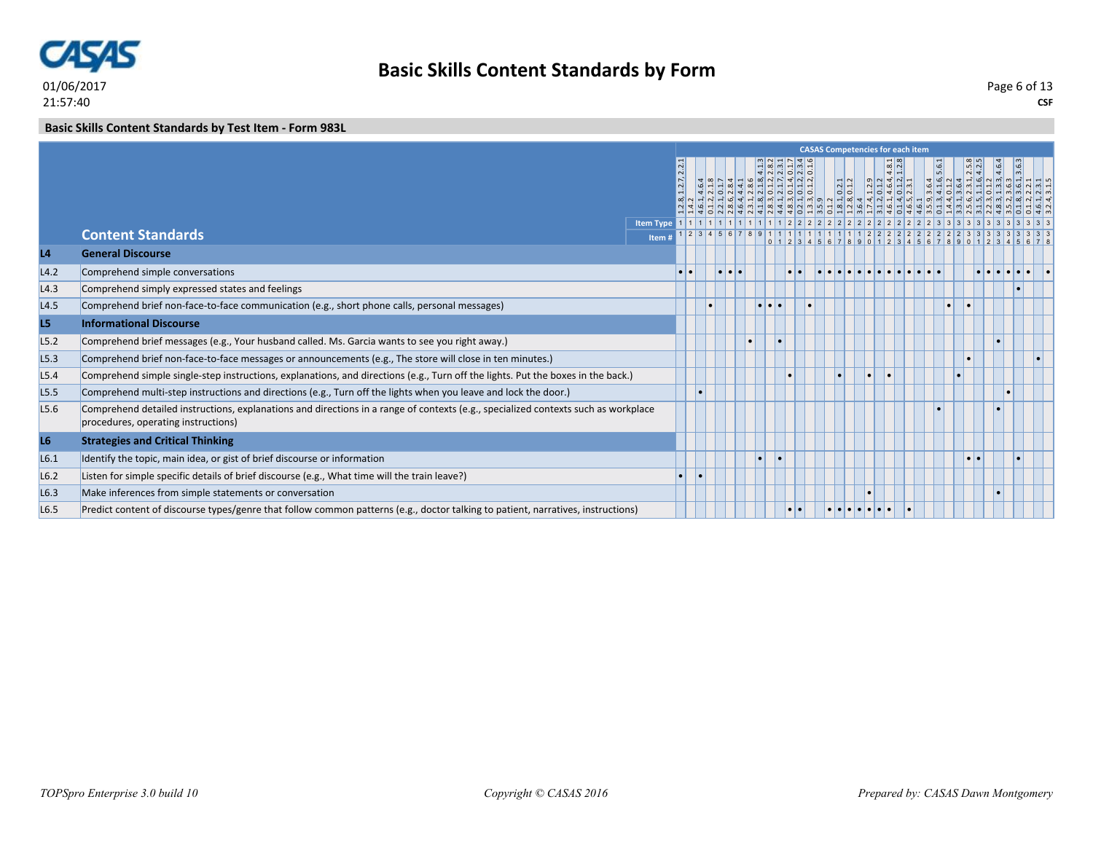

#### **Basic Skills Content Standards by Test Item - Form 983L**

|                  |                                                                                                                                                                           | <b>CASAS Competencies for each item</b><br>5.6.1 |                  |  |                         |  |   |  |                                                                                                                                                                                                        |  |                                                                                   |  |                                           |          |  |           |  |  |
|------------------|---------------------------------------------------------------------------------------------------------------------------------------------------------------------------|--------------------------------------------------|------------------|--|-------------------------|--|---|--|--------------------------------------------------------------------------------------------------------------------------------------------------------------------------------------------------------|--|-----------------------------------------------------------------------------------|--|-------------------------------------------|----------|--|-----------|--|--|
|                  |                                                                                                                                                                           |                                                  |                  |  |                         |  |   |  | $\frac{1}{4}$ $\frac{1}{2}$ $\frac{1}{2}$ $\frac{1}{2}$ $\frac{1}{2}$ $\frac{1}{2}$ $\frac{1}{2}$ $\frac{1}{2}$ $\frac{1}{2}$ $\frac{1}{2}$ $\frac{1}{2}$ $\frac{1}{2}$<br>0.1.2, 0.1.4, 0.1.2, 0.1.2, |  | $\frac{0.2.1}{0.1.2}$<br>$\left  \begin{array}{c} -1 \\ 0 \end{array} \right $ of |  | 4.8.28<br>$ 0 $ $ 4 $ $ 3 $ $ 4$<br> 3349 |          |  |           |  |  |
|                  | <b>Content Standards</b>                                                                                                                                                  | <b>Item Type</b><br>Item#                        |                  |  |                         |  |   |  |                                                                                                                                                                                                        |  |                                                                                   |  |                                           |          |  |           |  |  |
| L4               | <b>General Discourse</b>                                                                                                                                                  |                                                  |                  |  |                         |  |   |  |                                                                                                                                                                                                        |  |                                                                                   |  |                                           | 90123456 |  |           |  |  |
| L4.2             | Comprehend simple conversations                                                                                                                                           |                                                  | $\bullet\bullet$ |  | $  \bullet   \bullet  $ |  |   |  |                                                                                                                                                                                                        |  |                                                                                   |  |                                           |          |  |           |  |  |
| L4.3             | Comprehend simply expressed states and feelings                                                                                                                           |                                                  |                  |  |                         |  |   |  |                                                                                                                                                                                                        |  |                                                                                   |  |                                           |          |  |           |  |  |
| L4.5             | Comprehend brief non-face-to-face communication (e.g., short phone calls, personal messages)                                                                              |                                                  |                  |  |                         |  | . |  |                                                                                                                                                                                                        |  |                                                                                   |  |                                           |          |  |           |  |  |
| L5               | <b>Informational Discourse</b>                                                                                                                                            |                                                  |                  |  |                         |  |   |  |                                                                                                                                                                                                        |  |                                                                                   |  |                                           |          |  |           |  |  |
| L5.2             | Comprehend brief messages (e.g., Your husband called. Ms. Garcia wants to see you right away.)                                                                            |                                                  |                  |  |                         |  |   |  |                                                                                                                                                                                                        |  |                                                                                   |  |                                           |          |  |           |  |  |
| L5.3             | Comprehend brief non-face-to-face messages or announcements (e.g., The store will close in ten minutes.)                                                                  |                                                  |                  |  |                         |  |   |  |                                                                                                                                                                                                        |  |                                                                                   |  |                                           |          |  |           |  |  |
| L5.4             | Comprehend simple single-step instructions, explanations, and directions (e.g., Turn off the lights. Put the boxes in the back.)                                          |                                                  |                  |  |                         |  |   |  |                                                                                                                                                                                                        |  |                                                                                   |  |                                           |          |  |           |  |  |
| L5.5             | Comprehend multi-step instructions and directions (e.g., Turn off the lights when you leave and lock the door.)                                                           |                                                  |                  |  |                         |  |   |  |                                                                                                                                                                                                        |  |                                                                                   |  |                                           |          |  |           |  |  |
| L5.6             | Comprehend detailed instructions, explanations and directions in a range of contexts (e.g., specialized contexts such as workplace<br>procedures, operating instructions) |                                                  |                  |  |                         |  |   |  |                                                                                                                                                                                                        |  |                                                                                   |  |                                           |          |  |           |  |  |
| L <sub>6</sub>   | <b>Strategies and Critical Thinking</b>                                                                                                                                   |                                                  |                  |  |                         |  |   |  |                                                                                                                                                                                                        |  |                                                                                   |  |                                           |          |  |           |  |  |
| L6.1             | Identify the topic, main idea, or gist of brief discourse or information                                                                                                  |                                                  |                  |  |                         |  |   |  |                                                                                                                                                                                                        |  |                                                                                   |  |                                           |          |  | $\bullet$ |  |  |
| L6.2             | Listen for simple specific details of brief discourse (e.g., What time will the train leave?)                                                                             |                                                  |                  |  |                         |  |   |  |                                                                                                                                                                                                        |  |                                                                                   |  |                                           |          |  |           |  |  |
| L6.3             | Make inferences from simple statements or conversation                                                                                                                    |                                                  |                  |  |                         |  |   |  |                                                                                                                                                                                                        |  |                                                                                   |  |                                           |          |  |           |  |  |
| L <sub>6.5</sub> | Predict content of discourse types/genre that follow common patterns (e.g., doctor talking to patient, narratives, instructions)                                          |                                                  |                  |  |                         |  |   |  | $\bullet\bullet$                                                                                                                                                                                       |  |                                                                                   |  |                                           |          |  |           |  |  |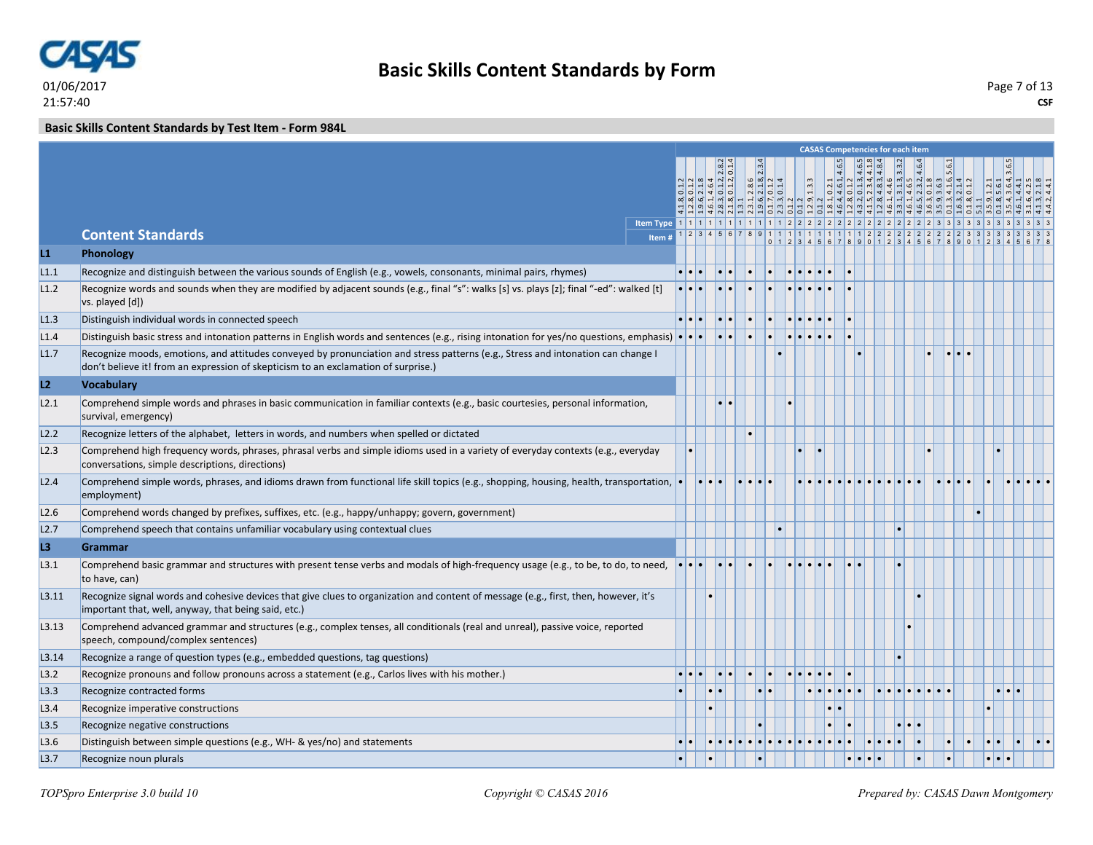#### **Basic Skills Content Standards by Test Item - Form 984L**

|       |                                                                                                                                                                                                                        |                         |                 |               |                      |    |                         |               |  | <b>CASAS Competencies for each item</b>                                                                                                                                                                                                    |                         |  |  |                     |  |
|-------|------------------------------------------------------------------------------------------------------------------------------------------------------------------------------------------------------------------------|-------------------------|-----------------|---------------|----------------------|----|-------------------------|---------------|--|--------------------------------------------------------------------------------------------------------------------------------------------------------------------------------------------------------------------------------------------|-------------------------|--|--|---------------------|--|
|       |                                                                                                                                                                                                                        |                         |                 |               |                      |    |                         |               |  | 81, 02.1<br>64, 4, 6.1, 4, 6.5<br>6.4, 4, 6.1, 4, 4, 6.5<br>1.5, 2.3, 4, 4, 5, 4, 6.5, 4, 6.5, 4, 6.5, 4, 6.5, 6.5, 6.6, 6.1<br>1.1, 4, 6.5, 6.6, 6.1, 6.5, 6.6, 6.1, 6.5, 6.6, 6.1, 6.5, 6.6, 6.1, 6.5, 6.6, 6.1, 6.1, 6.1, 6.1, 6.1, 6.1 |                         |  |  |                     |  |
|       |                                                                                                                                                                                                                        |                         |                 | q q           | $3.3334$<br>$7.1314$ |    | $\vert$ <sup>3</sup> .3 |               |  |                                                                                                                                                                                                                                            |                         |  |  |                     |  |
|       |                                                                                                                                                                                                                        |                         |                 | <u>리라리 취임</u> | பு நுய               |    |                         |               |  |                                                                                                                                                                                                                                            |                         |  |  |                     |  |
|       |                                                                                                                                                                                                                        |                         |                 |               |                      |    |                         |               |  |                                                                                                                                                                                                                                            |                         |  |  |                     |  |
|       | <b>Content Standards</b><br>Item#                                                                                                                                                                                      |                         |                 |               |                      |    |                         |               |  | $911111111111111122222222222333$                                                                                                                                                                                                           |                         |  |  |                     |  |
| L1    | Phonology                                                                                                                                                                                                              |                         |                 |               |                      |    |                         |               |  | 0 1 2 3 4 5 6 7 8 9 0 1 2 3 4 5 6 7 8 9 0 1                                                                                                                                                                                                |                         |  |  |                     |  |
|       |                                                                                                                                                                                                                        |                         |                 |               |                      |    |                         |               |  |                                                                                                                                                                                                                                            |                         |  |  |                     |  |
| L1.1  | Recognize and distinguish between the various sounds of English (e.g., vowels, consonants, minimal pairs, rhymes)                                                                                                      |                         |                 |               |                      |    |                         |               |  |                                                                                                                                                                                                                                            |                         |  |  |                     |  |
| L1.2  | Recognize words and sounds when they are modified by adjacent sounds (e.g., final "s": walks [s] vs. plays [z]; final "-ed": walked [t]<br>vs. played [d])                                                             |                         |                 |               |                      |    |                         |               |  |                                                                                                                                                                                                                                            |                         |  |  |                     |  |
| L1.3  | Distinguish individual words in connected speech                                                                                                                                                                       | $\bullet\bullet\bullet$ |                 |               |                      |    |                         |               |  |                                                                                                                                                                                                                                            |                         |  |  |                     |  |
| L1.4  | Distinguish basic stress and intonation patterns in English words and sentences (e.g., rising intonation for yes/no questions, emphasis) $\cdot \cdot \cdot$                                                           |                         |                 |               | ۱.                   | I۰ |                         |               |  |                                                                                                                                                                                                                                            |                         |  |  |                     |  |
| L1.7  | Recognize moods, emotions, and attitudes conveyed by pronunciation and stress patterns (e.g., Stress and intonation can change I<br>don't believe it! from an expression of skepticism to an exclamation of surprise.) |                         |                 |               |                      |    |                         |               |  |                                                                                                                                                                                                                                            |                         |  |  |                     |  |
| L2    | <b>Vocabulary</b>                                                                                                                                                                                                      |                         |                 |               |                      |    |                         |               |  |                                                                                                                                                                                                                                            |                         |  |  |                     |  |
| L2.1  | Comprehend simple words and phrases in basic communication in familiar contexts (e.g., basic courtesies, personal information,                                                                                         |                         |                 |               |                      |    |                         |               |  |                                                                                                                                                                                                                                            |                         |  |  |                     |  |
|       | survival, emergency)                                                                                                                                                                                                   |                         |                 |               |                      |    |                         |               |  |                                                                                                                                                                                                                                            |                         |  |  |                     |  |
| L2.2  | Recognize letters of the alphabet, letters in words, and numbers when spelled or dictated                                                                                                                              |                         |                 |               |                      |    |                         |               |  |                                                                                                                                                                                                                                            |                         |  |  |                     |  |
| L2.3  | Comprehend high frequency words, phrases, phrasal verbs and simple idioms used in a variety of everyday contexts (e.g., everyday<br>conversations, simple descriptions, directions)                                    |                         |                 |               |                      |    |                         |               |  |                                                                                                                                                                                                                                            |                         |  |  |                     |  |
| L2.4  | Comprehend simple words, phrases, and idioms drawn from functional life skill topics (e.g., shopping, housing, health, transportation,<br>employment)                                                                  |                         | $\cdot$ $\cdot$ |               |                      |    |                         |               |  |                                                                                                                                                                                                                                            |                         |  |  |                     |  |
| L2.6  | Comprehend words changed by prefixes, suffixes, etc. (e.g., happy/unhappy; govern, government)                                                                                                                         |                         |                 |               |                      |    |                         |               |  |                                                                                                                                                                                                                                            |                         |  |  |                     |  |
| L2.7  | Comprehend speech that contains unfamiliar vocabulary using contextual clues                                                                                                                                           |                         |                 |               |                      |    |                         |               |  |                                                                                                                                                                                                                                            |                         |  |  |                     |  |
| L3    | Grammar                                                                                                                                                                                                                |                         |                 |               |                      |    |                         |               |  |                                                                                                                                                                                                                                            |                         |  |  |                     |  |
| L3.1  | Comprehend basic grammar and structures with present tense verbs and modals of high-frequency usage (e.g., to be, to do, to need,<br>to have, can)                                                                     |                         |                 |               |                      |    |                         |               |  |                                                                                                                                                                                                                                            |                         |  |  |                     |  |
| L3.11 | Recognize signal words and cohesive devices that give clues to organization and content of message (e.g., first, then, however, it's                                                                                   |                         |                 |               |                      |    |                         |               |  |                                                                                                                                                                                                                                            |                         |  |  |                     |  |
|       | important that, well, anyway, that being said, etc.)                                                                                                                                                                   |                         |                 |               |                      |    |                         |               |  |                                                                                                                                                                                                                                            |                         |  |  |                     |  |
| L3.13 | Comprehend advanced grammar and structures (e.g., complex tenses, all conditionals (real and unreal), passive voice, reported<br>speech, compound/complex sentences)                                                   |                         |                 |               |                      |    |                         |               |  |                                                                                                                                                                                                                                            |                         |  |  |                     |  |
| L3.14 | Recognize a range of question types (e.g., embedded questions, tag questions)                                                                                                                                          |                         |                 |               |                      |    |                         |               |  |                                                                                                                                                                                                                                            |                         |  |  |                     |  |
| L3.2  | Recognize pronouns and follow pronouns across a statement (e.g., Carlos lives with his mother.)                                                                                                                        |                         |                 |               |                      |    |                         |               |  |                                                                                                                                                                                                                                            |                         |  |  |                     |  |
| L3.3  | Recognize contracted forms                                                                                                                                                                                             |                         |                 |               | $\cdot \cdot$        |    |                         |               |  |                                                                                                                                                                                                                                            |                         |  |  | $\bullet$ $\bullet$ |  |
| L3.4  | Recognize imperative constructions                                                                                                                                                                                     |                         |                 |               |                      |    |                         | $\cdot \cdot$ |  |                                                                                                                                                                                                                                            |                         |  |  |                     |  |
| L3.5  | Recognize negative constructions                                                                                                                                                                                       |                         |                 |               |                      |    |                         |               |  |                                                                                                                                                                                                                                            | $\bullet\bullet\bullet$ |  |  |                     |  |
| L3.6  | Distinguish between simple questions (e.g., WH- & yes/no) and statements                                                                                                                                               |                         |                 |               |                      |    |                         |               |  |                                                                                                                                                                                                                                            |                         |  |  |                     |  |
| L3.7  | Recognize noun plurals                                                                                                                                                                                                 |                         |                 |               |                      |    |                         |               |  |                                                                                                                                                                                                                                            |                         |  |  |                     |  |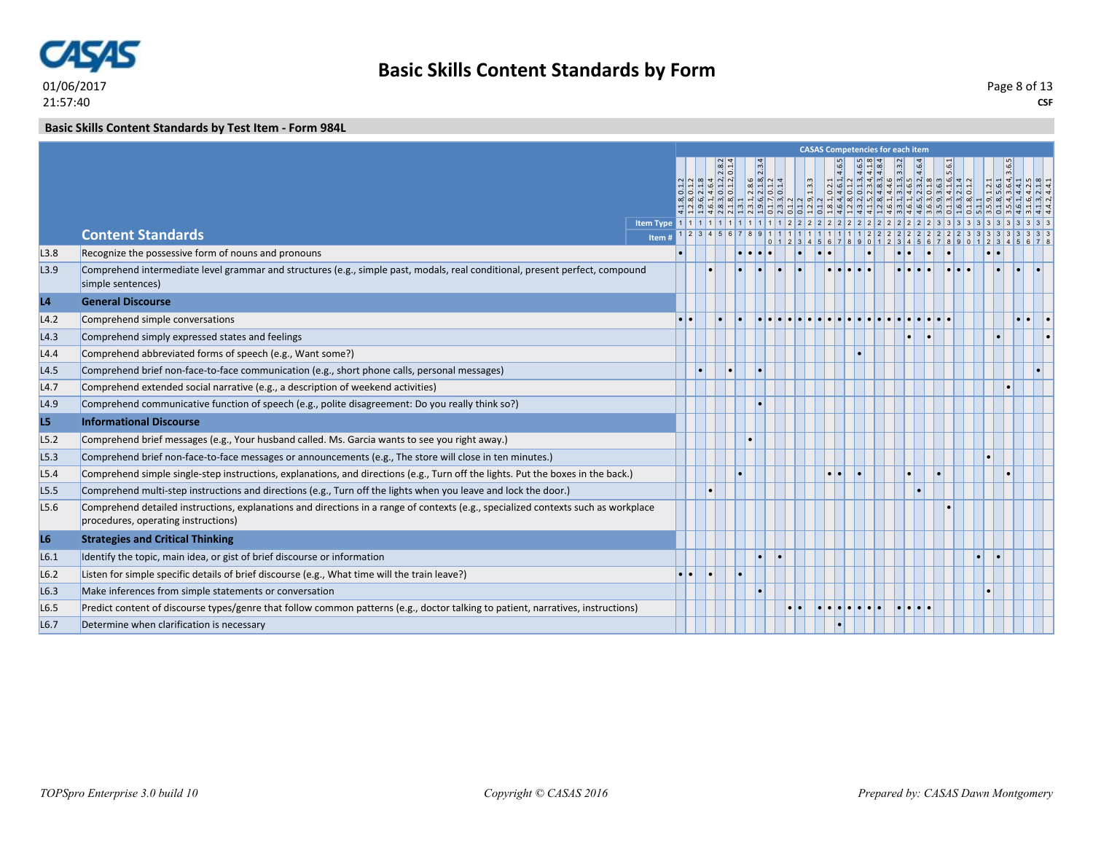

#### **Basic Skills Content Standards by Test Item - Form 984L**

|                  |                                                                                                                                                                           |        |                  |                                                                                                                                                                              |   |                                                                                                                            |                                                                                                                            |  | <b>CASAS Competencies for each item</b>                                                                                                                                                         |          |  |  |  |
|------------------|---------------------------------------------------------------------------------------------------------------------------------------------------------------------------|--------|------------------|------------------------------------------------------------------------------------------------------------------------------------------------------------------------------|---|----------------------------------------------------------------------------------------------------------------------------|----------------------------------------------------------------------------------------------------------------------------|--|-------------------------------------------------------------------------------------------------------------------------------------------------------------------------------------------------|----------|--|--|--|
|                  |                                                                                                                                                                           |        |                  | $\frac{1}{2}$ $\frac{1}{2}$ $\frac{1}{2}$ $\frac{1}{2}$ $\frac{1}{2}$ $\frac{1}{2}$ $\frac{1}{2}$ $\frac{1}{2}$ $\frac{1}{2}$<br><u>라리 제 하다</u><br>4 4 4 4 6 6 4 6 6 6 6 4 6 | N | $\begin{array}{ c c c c c }\n\hline\n3.4 & 3.1 & 1.4 \\ \hline\n2.1 & 1.2 & 1.4 \\ \hline\n0 & 0 & 1.4 & 1.4\n\end{array}$ | $\overline{\phantom{1}13.3}$<br>$  \mathfrak{G}   \mathfrak{r}  $ m $  \mathfrak{a}   \mathfrak{a}  $ m $  \mathfrak{a}  $ |  | $\begin{array}{l} 0.2.1 & 4.6.5 \\ 0.1.2 & 4.6.1 \\ 0.1.3 & 4.6.5 \\ 2.2.3.4 & 4.1.8 \\ 4.4.8 & 3.4.8.3 \\ 3.4.5 & 3.3.2 \\ 3.4.5 & 3.3.2 \\ 3.4.6 & 3.4.6.4 \\ 3.4.5 & 3.4.6.4 \\ \end{array}$ |          |  |  |  |
|                  |                                                                                                                                                                           |        |                  |                                                                                                                                                                              |   |                                                                                                                            |                                                                                                                            |  |                                                                                                                                                                                                 |          |  |  |  |
|                  | <b>Content Standards</b>                                                                                                                                                  | Item # |                  |                                                                                                                                                                              |   |                                                                                                                            |                                                                                                                            |  |                                                                                                                                                                                                 |          |  |  |  |
| L3.8             | Recognize the possessive form of nouns and pronouns                                                                                                                       |        |                  |                                                                                                                                                                              |   |                                                                                                                            |                                                                                                                            |  |                                                                                                                                                                                                 |          |  |  |  |
| L3.9             | Comprehend intermediate level grammar and structures (e.g., simple past, modals, real conditional, present perfect, compound<br>simple sentences)                         |        |                  |                                                                                                                                                                              |   |                                                                                                                            |                                                                                                                            |  |                                                                                                                                                                                                 |          |  |  |  |
| L4               | <b>General Discourse</b>                                                                                                                                                  |        |                  |                                                                                                                                                                              |   |                                                                                                                            |                                                                                                                            |  |                                                                                                                                                                                                 |          |  |  |  |
| L4.2             | Comprehend simple conversations                                                                                                                                           |        |                  |                                                                                                                                                                              |   |                                                                                                                            |                                                                                                                            |  |                                                                                                                                                                                                 |          |  |  |  |
| L4.3             | Comprehend simply expressed states and feelings                                                                                                                           |        |                  |                                                                                                                                                                              |   |                                                                                                                            |                                                                                                                            |  |                                                                                                                                                                                                 |          |  |  |  |
| L4.4             | Comprehend abbreviated forms of speech (e.g., Want some?)                                                                                                                 |        |                  |                                                                                                                                                                              |   |                                                                                                                            |                                                                                                                            |  |                                                                                                                                                                                                 |          |  |  |  |
| L4.5             | Comprehend brief non-face-to-face communication (e.g., short phone calls, personal messages)                                                                              |        |                  |                                                                                                                                                                              |   |                                                                                                                            |                                                                                                                            |  |                                                                                                                                                                                                 |          |  |  |  |
| L4.7             | Comprehend extended social narrative (e.g., a description of weekend activities)                                                                                          |        |                  |                                                                                                                                                                              |   |                                                                                                                            |                                                                                                                            |  |                                                                                                                                                                                                 |          |  |  |  |
| L4.9             | Comprehend communicative function of speech (e.g., polite disagreement: Do you really think so?)                                                                          |        |                  |                                                                                                                                                                              |   |                                                                                                                            |                                                                                                                            |  |                                                                                                                                                                                                 |          |  |  |  |
| L5               | <b>Informational Discourse</b>                                                                                                                                            |        |                  |                                                                                                                                                                              |   |                                                                                                                            |                                                                                                                            |  |                                                                                                                                                                                                 |          |  |  |  |
| L5.2             | Comprehend brief messages (e.g., Your husband called. Ms. Garcia wants to see you right away.)                                                                            |        |                  |                                                                                                                                                                              |   |                                                                                                                            |                                                                                                                            |  |                                                                                                                                                                                                 |          |  |  |  |
| L5.3             | Comprehend brief non-face-to-face messages or announcements (e.g., The store will close in ten minutes.)                                                                  |        |                  |                                                                                                                                                                              |   |                                                                                                                            |                                                                                                                            |  |                                                                                                                                                                                                 |          |  |  |  |
| L5.4             | Comprehend simple single-step instructions, explanations, and directions (e.g., Turn off the lights. Put the boxes in the back.)                                          |        |                  |                                                                                                                                                                              |   |                                                                                                                            |                                                                                                                            |  |                                                                                                                                                                                                 |          |  |  |  |
| L <sub>5.5</sub> | Comprehend multi-step instructions and directions (e.g., Turn off the lights when you leave and lock the door.)                                                           |        |                  |                                                                                                                                                                              |   |                                                                                                                            |                                                                                                                            |  |                                                                                                                                                                                                 |          |  |  |  |
| L <sub>5.6</sub> | Comprehend detailed instructions, explanations and directions in a range of contexts (e.g., specialized contexts such as workplace<br>procedures, operating instructions) |        |                  |                                                                                                                                                                              |   |                                                                                                                            |                                                                                                                            |  |                                                                                                                                                                                                 |          |  |  |  |
| L <sub>6</sub>   | <b>Strategies and Critical Thinking</b>                                                                                                                                   |        |                  |                                                                                                                                                                              |   |                                                                                                                            |                                                                                                                            |  |                                                                                                                                                                                                 |          |  |  |  |
| L6.1             | Identify the topic, main idea, or gist of brief discourse or information                                                                                                  |        |                  |                                                                                                                                                                              |   |                                                                                                                            |                                                                                                                            |  |                                                                                                                                                                                                 |          |  |  |  |
| L6.2             | Listen for simple specific details of brief discourse (e.g., What time will the train leave?)                                                                             |        | $\bullet\bullet$ |                                                                                                                                                                              |   |                                                                                                                            |                                                                                                                            |  |                                                                                                                                                                                                 |          |  |  |  |
| L6.3             | Make inferences from simple statements or conversation                                                                                                                    |        |                  |                                                                                                                                                                              |   |                                                                                                                            |                                                                                                                            |  |                                                                                                                                                                                                 |          |  |  |  |
| L6.5             | Predict content of discourse types/genre that follow common patterns (e.g., doctor talking to patient, narratives, instructions)                                          |        |                  |                                                                                                                                                                              |   |                                                                                                                            |                                                                                                                            |  |                                                                                                                                                                                                 | le le le |  |  |  |
| L <sub>6.7</sub> | Determine when clarification is necessary                                                                                                                                 |        |                  |                                                                                                                                                                              |   |                                                                                                                            |                                                                                                                            |  |                                                                                                                                                                                                 |          |  |  |  |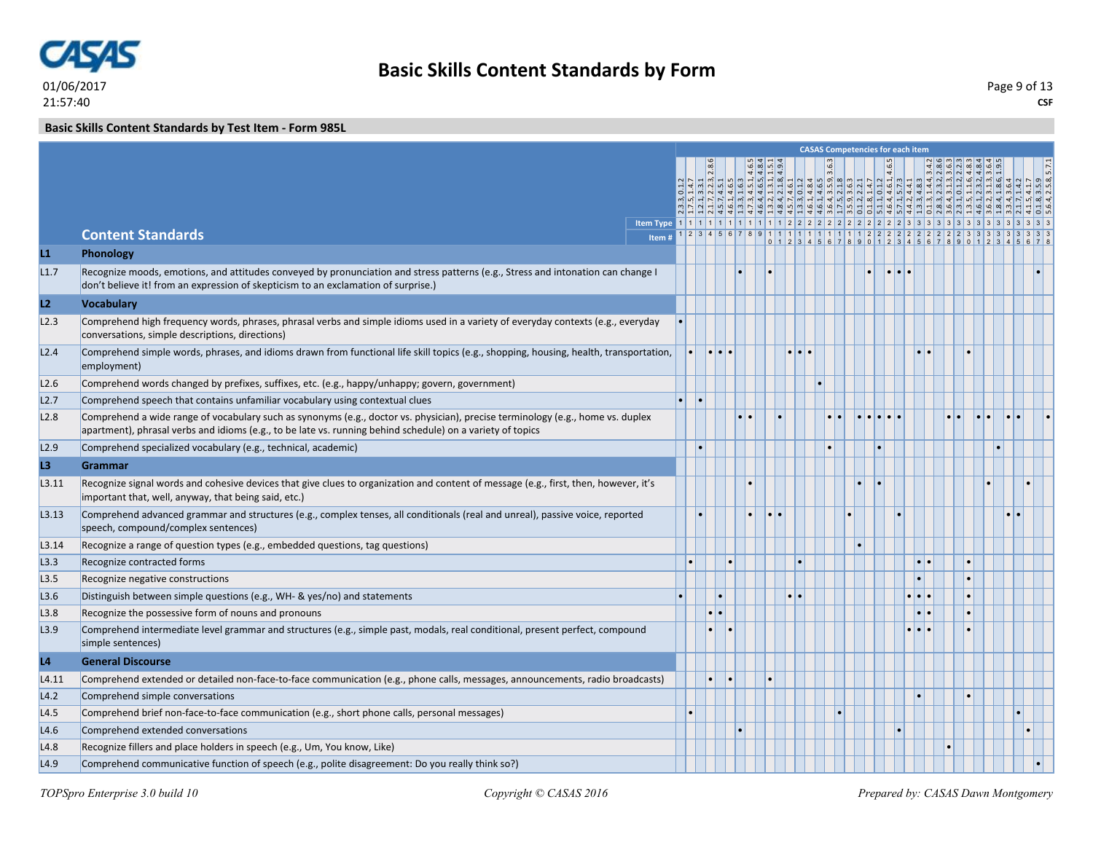

#### **Basic Skills Content Standards by Test Item - Form 985L**

|                |                                                                                                                                                                                                                                               |  |                       |                                           |  |                          |  | <b>CASAS Competencies for each item</b>                                |                                                                                                                                                                                          |                                                                                                                                                                                                                                                                                                                                                                                                                                                           |  |  |
|----------------|-----------------------------------------------------------------------------------------------------------------------------------------------------------------------------------------------------------------------------------------------|--|-----------------------|-------------------------------------------|--|--------------------------|--|------------------------------------------------------------------------|------------------------------------------------------------------------------------------------------------------------------------------------------------------------------------------|-----------------------------------------------------------------------------------------------------------------------------------------------------------------------------------------------------------------------------------------------------------------------------------------------------------------------------------------------------------------------------------------------------------------------------------------------------------|--|--|
|                |                                                                                                                                                                                                                                               |  |                       | $484$<br>$484$<br>$154$<br>$494$          |  |                          |  | $\begin{array}{ c c }\n 2 & 4.6.5 \\  \hline\n 1, 4.6.5\n \end{array}$ |                                                                                                                                                                                          |                                                                                                                                                                                                                                                                                                                                                                                                                                                           |  |  |
|                |                                                                                                                                                                                                                                               |  |                       | $ \vec{u}   \vec{u}   \vec{u}   \vec{u} $ |  | $\frac{4}{10}$   00   00 |  |                                                                        |                                                                                                                                                                                          | $\vec{a} \cdot \vec{b} \cdot \vec{c} \cdot \vec{d} \cdot \vec{d} \cdot \vec{d} \cdot \vec{d} \cdot \vec{d} \cdot \vec{d} \cdot \vec{d} \cdot \vec{d} \cdot \vec{d} \cdot \vec{d} \cdot \vec{d} \cdot \vec{d} \cdot \vec{d} \cdot \vec{d} \cdot \vec{d} \cdot \vec{d} \cdot \vec{d} \cdot \vec{d} \cdot \vec{d} \cdot \vec{d} \cdot \vec{d} \cdot \vec{d} \cdot \vec{d} \cdot \vec{d} \cdot \vec{d} \cdot \vec{d} \cdot \vec{d} \cdot \vec{d} \cdot \vec{$ |  |  |
|                |                                                                                                                                                                                                                                               |  |                       |                                           |  |                          |  |                                                                        |                                                                                                                                                                                          |                                                                                                                                                                                                                                                                                                                                                                                                                                                           |  |  |
|                |                                                                                                                                                                                                                                               |  |                       |                                           |  |                          |  |                                                                        |                                                                                                                                                                                          |                                                                                                                                                                                                                                                                                                                                                                                                                                                           |  |  |
|                | <b>Content Standards</b>                                                                                                                                                                                                                      |  |                       |                                           |  |                          |  |                                                                        | $1 \ 2 \ 3 \ 4 \ 5 \ 6 \ 7 \ 8 \ 9 \ 1 \ 1 \ 1 \ 1 \ 1 \ 1 \ 1 \ 1 \ 1 \ 1 \ 2 \ 2 \ 2 \ 2 \ 2 \ 2 \ 2 \ 2 \ 2 \ 2 \ 2 \ 3 \ 3 \ 3 \ 3$<br>0 1 2 3 4 5 6 7 8 9 0 1 2 3 4 5 6 7 8 9 0 1 2 |                                                                                                                                                                                                                                                                                                                                                                                                                                                           |  |  |
| L1             | Phonology                                                                                                                                                                                                                                     |  |                       |                                           |  |                          |  |                                                                        |                                                                                                                                                                                          |                                                                                                                                                                                                                                                                                                                                                                                                                                                           |  |  |
| L1.7           | Recognize moods, emotions, and attitudes conveyed by pronunciation and stress patterns (e.g., Stress and intonation can change I<br>don't believe it! from an expression of skepticism to an exclamation of surprise.)                        |  |                       |                                           |  |                          |  |                                                                        |                                                                                                                                                                                          |                                                                                                                                                                                                                                                                                                                                                                                                                                                           |  |  |
| L2             | <b>Vocabulary</b>                                                                                                                                                                                                                             |  |                       |                                           |  |                          |  |                                                                        |                                                                                                                                                                                          |                                                                                                                                                                                                                                                                                                                                                                                                                                                           |  |  |
| L2.3           | Comprehend high frequency words, phrases, phrasal verbs and simple idioms used in a variety of everyday contexts (e.g., everyday<br>conversations, simple descriptions, directions)                                                           |  |                       |                                           |  |                          |  |                                                                        |                                                                                                                                                                                          |                                                                                                                                                                                                                                                                                                                                                                                                                                                           |  |  |
| L2.4           | Comprehend simple words, phrases, and idioms drawn from functional life skill topics (e.g., shopping, housing, health, transportation,<br>employment)                                                                                         |  | $ \bullet  \bullet  $ |                                           |  |                          |  |                                                                        |                                                                                                                                                                                          |                                                                                                                                                                                                                                                                                                                                                                                                                                                           |  |  |
| L2.6           | Comprehend words changed by prefixes, suffixes, etc. (e.g., happy/unhappy; govern, government)                                                                                                                                                |  |                       |                                           |  |                          |  |                                                                        |                                                                                                                                                                                          |                                                                                                                                                                                                                                                                                                                                                                                                                                                           |  |  |
| L2.7           | Comprehend speech that contains unfamiliar vocabulary using contextual clues                                                                                                                                                                  |  |                       |                                           |  |                          |  |                                                                        |                                                                                                                                                                                          |                                                                                                                                                                                                                                                                                                                                                                                                                                                           |  |  |
| L2.8           | Comprehend a wide range of vocabulary such as synonyms (e.g., doctor vs. physician), precise terminology (e.g., home vs. duplex<br>apartment), phrasal verbs and idioms (e.g., to be late vs. running behind schedule) on a variety of topics |  |                       |                                           |  |                          |  |                                                                        |                                                                                                                                                                                          |                                                                                                                                                                                                                                                                                                                                                                                                                                                           |  |  |
| L2.9           | Comprehend specialized vocabulary (e.g., technical, academic)                                                                                                                                                                                 |  |                       |                                           |  | $\bullet$                |  |                                                                        |                                                                                                                                                                                          |                                                                                                                                                                                                                                                                                                                                                                                                                                                           |  |  |
| L <sub>3</sub> | <b>Grammar</b>                                                                                                                                                                                                                                |  |                       |                                           |  |                          |  |                                                                        |                                                                                                                                                                                          |                                                                                                                                                                                                                                                                                                                                                                                                                                                           |  |  |
| L3.11          | Recognize signal words and cohesive devices that give clues to organization and content of message (e.g., first, then, however, it's<br>important that, well, anyway, that being said, etc.)                                                  |  |                       |                                           |  |                          |  |                                                                        |                                                                                                                                                                                          |                                                                                                                                                                                                                                                                                                                                                                                                                                                           |  |  |
| L3.13          | Comprehend advanced grammar and structures (e.g., complex tenses, all conditionals (real and unreal), passive voice, reported<br>speech, compound/complex sentences)                                                                          |  |                       |                                           |  |                          |  |                                                                        |                                                                                                                                                                                          |                                                                                                                                                                                                                                                                                                                                                                                                                                                           |  |  |
| L3.14          | Recognize a range of question types (e.g., embedded questions, tag questions)                                                                                                                                                                 |  |                       |                                           |  |                          |  |                                                                        |                                                                                                                                                                                          |                                                                                                                                                                                                                                                                                                                                                                                                                                                           |  |  |
| L3.3           | Recognize contracted forms                                                                                                                                                                                                                    |  |                       |                                           |  |                          |  |                                                                        |                                                                                                                                                                                          |                                                                                                                                                                                                                                                                                                                                                                                                                                                           |  |  |
| L3.5           | Recognize negative constructions                                                                                                                                                                                                              |  |                       |                                           |  |                          |  |                                                                        |                                                                                                                                                                                          |                                                                                                                                                                                                                                                                                                                                                                                                                                                           |  |  |
| L3.6           | Distinguish between simple questions (e.g., WH- & yes/no) and statements                                                                                                                                                                      |  |                       |                                           |  |                          |  |                                                                        |                                                                                                                                                                                          |                                                                                                                                                                                                                                                                                                                                                                                                                                                           |  |  |
| L3.8           | Recognize the possessive form of nouns and pronouns                                                                                                                                                                                           |  |                       |                                           |  |                          |  |                                                                        |                                                                                                                                                                                          |                                                                                                                                                                                                                                                                                                                                                                                                                                                           |  |  |
| L3.9           | Comprehend intermediate level grammar and structures (e.g., simple past, modals, real conditional, present perfect, compound<br>simple sentences)                                                                                             |  |                       |                                           |  |                          |  |                                                                        |                                                                                                                                                                                          |                                                                                                                                                                                                                                                                                                                                                                                                                                                           |  |  |
| L <sub>4</sub> | <b>General Discourse</b>                                                                                                                                                                                                                      |  |                       |                                           |  |                          |  |                                                                        |                                                                                                                                                                                          |                                                                                                                                                                                                                                                                                                                                                                                                                                                           |  |  |
| L4.11          | Comprehend extended or detailed non-face-to-face communication (e.g., phone calls, messages, announcements, radio broadcasts)                                                                                                                 |  |                       |                                           |  |                          |  |                                                                        |                                                                                                                                                                                          |                                                                                                                                                                                                                                                                                                                                                                                                                                                           |  |  |
| L4.2           | Comprehend simple conversations                                                                                                                                                                                                               |  |                       |                                           |  |                          |  |                                                                        |                                                                                                                                                                                          |                                                                                                                                                                                                                                                                                                                                                                                                                                                           |  |  |
| L4.5           | Comprehend brief non-face-to-face communication (e.g., short phone calls, personal messages)                                                                                                                                                  |  |                       |                                           |  |                          |  |                                                                        |                                                                                                                                                                                          |                                                                                                                                                                                                                                                                                                                                                                                                                                                           |  |  |
| L4.6           | Comprehend extended conversations                                                                                                                                                                                                             |  |                       |                                           |  |                          |  |                                                                        |                                                                                                                                                                                          |                                                                                                                                                                                                                                                                                                                                                                                                                                                           |  |  |
| L4.8           | Recognize fillers and place holders in speech (e.g., Um, You know, Like)                                                                                                                                                                      |  |                       |                                           |  |                          |  |                                                                        |                                                                                                                                                                                          |                                                                                                                                                                                                                                                                                                                                                                                                                                                           |  |  |
|                |                                                                                                                                                                                                                                               |  |                       |                                           |  |                          |  |                                                                        |                                                                                                                                                                                          |                                                                                                                                                                                                                                                                                                                                                                                                                                                           |  |  |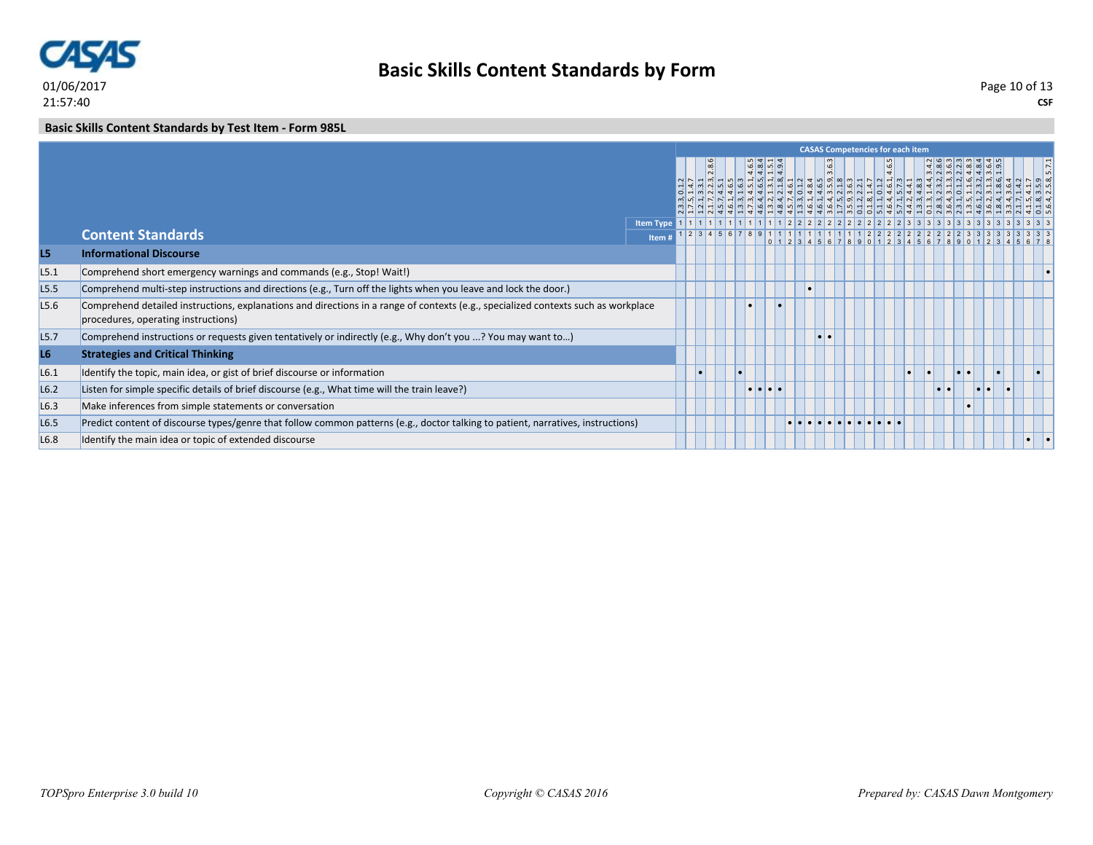

#### **Basic Skills Content Standards by Test Item - Form 985L**

|                  |                                                                                                                                                                           |                  |          |  |                                                   |  |           | <b>CASAS Competencies for each item</b> |       |           |                  |                  |     |  |  |
|------------------|---------------------------------------------------------------------------------------------------------------------------------------------------------------------------|------------------|----------|--|---------------------------------------------------|--|-----------|-----------------------------------------|-------|-----------|------------------|------------------|-----|--|--|
|                  |                                                                                                                                                                           |                  | $\infty$ |  | $  \omega   \omega  $ ທ່ $  \sigma  $<br> 4 4 4 4 |  | انت       |                                         | 4.6.5 |           |                  |                  |     |  |  |
|                  | <b>Content Standards</b>                                                                                                                                                  | <b>Item Type</b> |          |  |                                                   |  |           |                                         |       |           |                  |                  |     |  |  |
|                  |                                                                                                                                                                           | Item             |          |  |                                                   |  |           |                                         |       |           |                  |                  |     |  |  |
| L5               | <b>Informational Discourse</b>                                                                                                                                            |                  |          |  |                                                   |  |           |                                         |       |           |                  |                  |     |  |  |
| L5.1             | Comprehend short emergency warnings and commands (e.g., Stop! Wait!)                                                                                                      |                  |          |  |                                                   |  |           |                                         |       |           |                  |                  |     |  |  |
| L5.5             | Comprehend multi-step instructions and directions (e.g., Turn off the lights when you leave and lock the door.)                                                           |                  |          |  |                                                   |  |           |                                         |       |           |                  |                  |     |  |  |
| L5.6             | Comprehend detailed instructions, explanations and directions in a range of contexts (e.g., specialized contexts such as workplace<br>procedures, operating instructions) |                  |          |  |                                                   |  |           |                                         |       |           |                  |                  |     |  |  |
| L <sub>5.7</sub> | Comprehend instructions or requests given tentatively or indirectly (e.g., Why don't you ? You may want to)                                                               |                  |          |  |                                                   |  | $\bullet$ |                                         |       |           |                  |                  |     |  |  |
| L6               | <b>Strategies and Critical Thinking</b>                                                                                                                                   |                  |          |  |                                                   |  |           |                                         |       |           |                  |                  |     |  |  |
| L6.1             | Identify the topic, main idea, or gist of brief discourse or information                                                                                                  |                  |          |  |                                                   |  |           |                                         |       | $\bullet$ |                  | $\bullet\bullet$ |     |  |  |
| L6.2             | Listen for simple specific details of brief discourse (e.g., What time will the train leave?)                                                                             |                  |          |  | $  \bullet   \bullet   \bullet  $                 |  |           |                                         |       |           | $\bullet\bullet$ |                  | . . |  |  |
| L6.3             | Make inferences from simple statements or conversation                                                                                                                    |                  |          |  |                                                   |  |           |                                         |       |           |                  |                  |     |  |  |
| L6.5             | Predict content of discourse types/genre that follow common patterns (e.g., doctor talking to patient, narratives, instructions)                                          |                  |          |  |                                                   |  |           |                                         |       |           |                  |                  |     |  |  |
| L <sub>6.8</sub> | Identify the main idea or topic of extended discourse                                                                                                                     |                  |          |  |                                                   |  |           |                                         |       |           |                  |                  |     |  |  |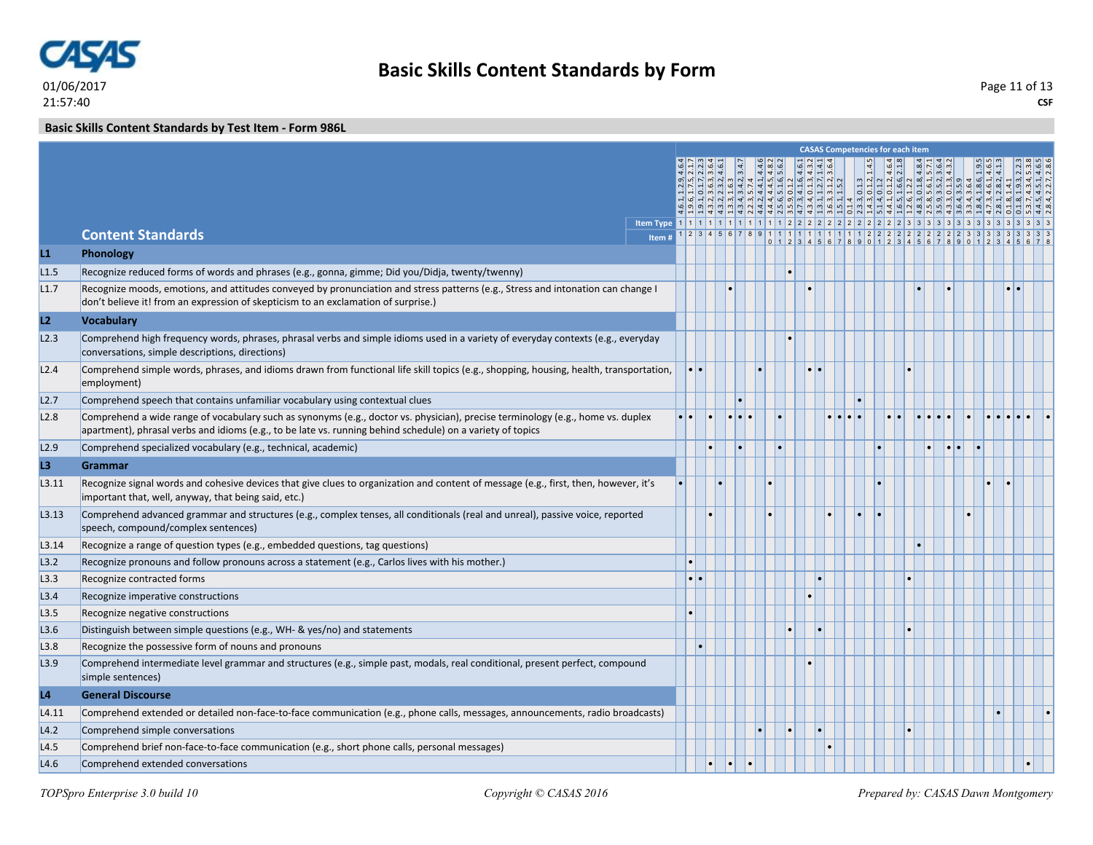

**CSF** Page 11 of 13

**Basic Skills Content Standards by Test Item - Form 986L**

|                        |                                                                                                                                                                                                                                               |       |                     |  |  |  |  | <b>CASAS Competencies for each item</b> |  |  |                   |  |
|------------------------|-----------------------------------------------------------------------------------------------------------------------------------------------------------------------------------------------------------------------------------------------|-------|---------------------|--|--|--|--|-----------------------------------------|--|--|-------------------|--|
|                        |                                                                                                                                                                                                                                               |       |                     |  |  |  |  |                                         |  |  |                   |  |
|                        |                                                                                                                                                                                                                                               |       |                     |  |  |  |  |                                         |  |  | $ \omega$ $4$ $-$ |  |
|                        |                                                                                                                                                                                                                                               |       |                     |  |  |  |  |                                         |  |  |                   |  |
|                        |                                                                                                                                                                                                                                               |       |                     |  |  |  |  |                                         |  |  |                   |  |
|                        | <b>Content Standards</b>                                                                                                                                                                                                                      | Item# |                     |  |  |  |  |                                         |  |  |                   |  |
| $\mathsf{L}\mathbf{1}$ | Phonology                                                                                                                                                                                                                                     |       |                     |  |  |  |  |                                         |  |  |                   |  |
| L1.5                   | Recognize reduced forms of words and phrases (e.g., gonna, gimme; Did you/Didja, twenty/twenny)                                                                                                                                               |       |                     |  |  |  |  |                                         |  |  |                   |  |
| L1.7                   | Recognize moods, emotions, and attitudes conveyed by pronunciation and stress patterns (e.g., Stress and intonation can change I<br>don't believe it! from an expression of skepticism to an exclamation of surprise.)                        |       |                     |  |  |  |  |                                         |  |  |                   |  |
| L2                     | <b>Vocabulary</b>                                                                                                                                                                                                                             |       |                     |  |  |  |  |                                         |  |  |                   |  |
| L2.3                   | Comprehend high frequency words, phrases, phrasal verbs and simple idioms used in a variety of everyday contexts (e.g., everyday<br>conversations, simple descriptions, directions)                                                           |       |                     |  |  |  |  |                                         |  |  |                   |  |
| L2.4                   | Comprehend simple words, phrases, and idioms drawn from functional life skill topics (e.g., shopping, housing, health, transportation,<br>employment)                                                                                         |       | $\bullet$ $\bullet$ |  |  |  |  |                                         |  |  |                   |  |
| L2.7                   | Comprehend speech that contains unfamiliar vocabulary using contextual clues                                                                                                                                                                  |       |                     |  |  |  |  |                                         |  |  |                   |  |
| L2.8                   | Comprehend a wide range of vocabulary such as synonyms (e.g., doctor vs. physician), precise terminology (e.g., home vs. duplex<br>apartment), phrasal verbs and idioms (e.g., to be late vs. running behind schedule) on a variety of topics |       |                     |  |  |  |  |                                         |  |  |                   |  |
| L2.9                   | Comprehend specialized vocabulary (e.g., technical, academic)                                                                                                                                                                                 |       |                     |  |  |  |  |                                         |  |  |                   |  |
| L3                     | <b>Grammar</b>                                                                                                                                                                                                                                |       |                     |  |  |  |  |                                         |  |  |                   |  |
| L3.11                  | Recognize signal words and cohesive devices that give clues to organization and content of message (e.g., first, then, however, it's<br>important that, well, anyway, that being said, etc.)                                                  |       |                     |  |  |  |  |                                         |  |  |                   |  |
| L3.13                  | Comprehend advanced grammar and structures (e.g., complex tenses, all conditionals (real and unreal), passive voice, reported<br>speech, compound/complex sentences)                                                                          |       |                     |  |  |  |  |                                         |  |  |                   |  |
| L3.14                  | Recognize a range of question types (e.g., embedded questions, tag questions)                                                                                                                                                                 |       |                     |  |  |  |  |                                         |  |  |                   |  |
| L3.2                   | Recognize pronouns and follow pronouns across a statement (e.g., Carlos lives with his mother.)                                                                                                                                               |       |                     |  |  |  |  |                                         |  |  |                   |  |
| L3.3                   | Recognize contracted forms                                                                                                                                                                                                                    |       | $\bullet\bullet$    |  |  |  |  |                                         |  |  |                   |  |
| L3.4                   | Recognize imperative constructions                                                                                                                                                                                                            |       |                     |  |  |  |  |                                         |  |  |                   |  |
| L3.5                   | Recognize negative constructions                                                                                                                                                                                                              |       |                     |  |  |  |  |                                         |  |  |                   |  |
| L3.6                   | Distinguish between simple questions (e.g., WH- & yes/no) and statements                                                                                                                                                                      |       |                     |  |  |  |  |                                         |  |  |                   |  |
| L3.8                   | Recognize the possessive form of nouns and pronouns                                                                                                                                                                                           |       |                     |  |  |  |  |                                         |  |  |                   |  |
| L3.9                   | Comprehend intermediate level grammar and structures (e.g., simple past, modals, real conditional, present perfect, compound<br>simple sentences)                                                                                             |       |                     |  |  |  |  |                                         |  |  |                   |  |
| L <sub>4</sub>         | <b>General Discourse</b>                                                                                                                                                                                                                      |       |                     |  |  |  |  |                                         |  |  |                   |  |
| L4.11                  | Comprehend extended or detailed non-face-to-face communication (e.g., phone calls, messages, announcements, radio broadcasts)                                                                                                                 |       |                     |  |  |  |  |                                         |  |  |                   |  |
| L4.2                   | Comprehend simple conversations                                                                                                                                                                                                               |       |                     |  |  |  |  |                                         |  |  |                   |  |
| L4.5                   | Comprehend brief non-face-to-face communication (e.g., short phone calls, personal messages)                                                                                                                                                  |       |                     |  |  |  |  |                                         |  |  |                   |  |
| L4.6                   | Comprehend extended conversations                                                                                                                                                                                                             |       |                     |  |  |  |  |                                         |  |  |                   |  |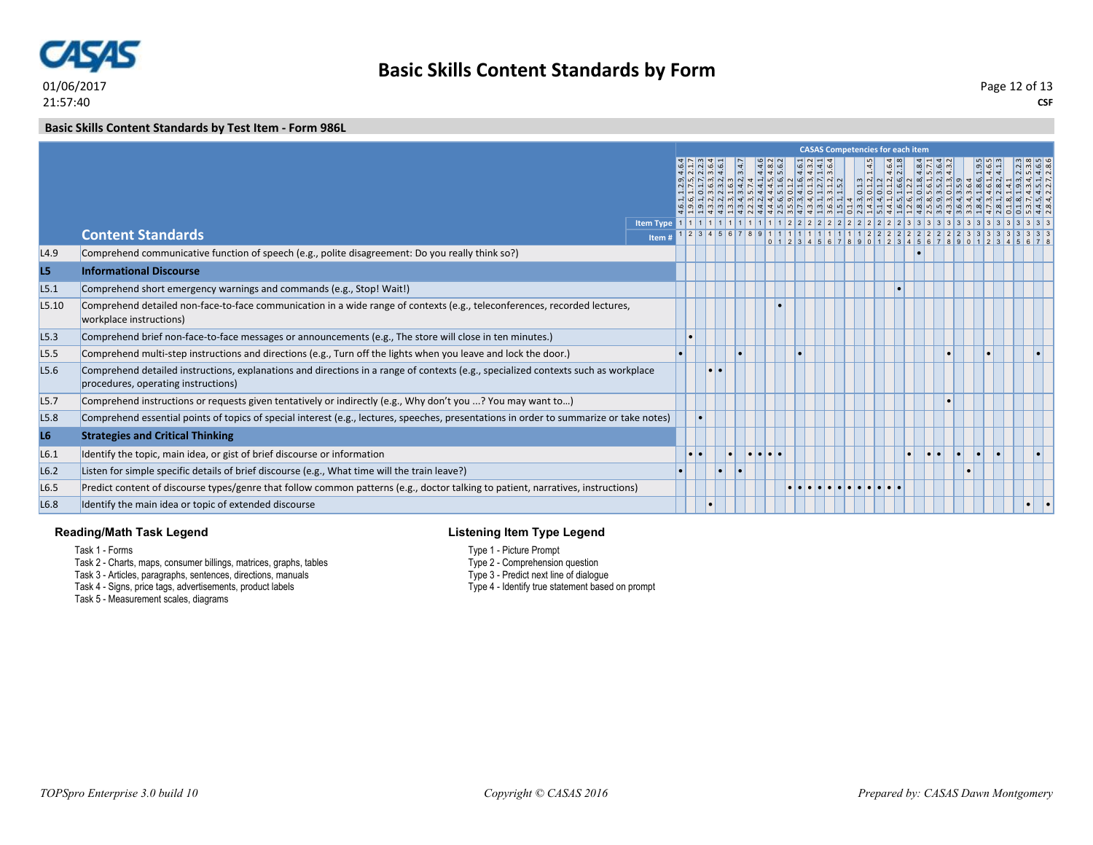

#### **Basic Skills Content Standards by Test Item - Form 986L**

|                  |                                                                                                                                                                           |                  |  |  |   |                                                                                                                                                         |  | <b>CASAS Competencies for each item</b>                                                                                                           |  |  |                             |             |  |
|------------------|---------------------------------------------------------------------------------------------------------------------------------------------------------------------------|------------------|--|--|---|---------------------------------------------------------------------------------------------------------------------------------------------------------|--|---------------------------------------------------------------------------------------------------------------------------------------------------|--|--|-----------------------------|-------------|--|
|                  |                                                                                                                                                                           |                  |  |  |   | 3.6.3, 3.64<br>1.6.3<br>1.6.3<br>1.4.2, 3.4.7<br>1.4.4.5, 4.8.2<br>5.1.6, 5.6.2<br>5.1.2, 3.5.4.4.1<br>1.1.2, 3.6.4<br>1.1.2, 3.6.4.1<br>1.1.2, 3.5.4.1 |  | $\begin{array}{r} \hline 3 \\ 2,14.5 \\ 2,4.64 \\ 3,4.84 \\ 4,6,2.1.8 \\ 5,7,1 \\ 6,2.8,4.8,4 \\ 7,3.6,4.8,4 \\ 8,4.3.2 \\ 9,9.4.3.2 \end{array}$ |  |  | $\frac{9}{4}$ $\frac{4}{4}$ | $ u $ $ u $ |  |
|                  |                                                                                                                                                                           | <b>Item Type</b> |  |  |   |                                                                                                                                                         |  |                                                                                                                                                   |  |  |                             |             |  |
|                  | <b>Content Standards</b>                                                                                                                                                  | Item #           |  |  |   |                                                                                                                                                         |  |                                                                                                                                                   |  |  |                             |             |  |
| L4.9             | Comprehend communicative function of speech (e.g., polite disagreement: Do you really think so?)                                                                          |                  |  |  |   |                                                                                                                                                         |  |                                                                                                                                                   |  |  |                             |             |  |
| L5               | <b>Informational Discourse</b>                                                                                                                                            |                  |  |  |   |                                                                                                                                                         |  |                                                                                                                                                   |  |  |                             |             |  |
| L5.1             | Comprehend short emergency warnings and commands (e.g., Stop! Wait!)                                                                                                      |                  |  |  |   |                                                                                                                                                         |  |                                                                                                                                                   |  |  |                             |             |  |
| L5.10            | Comprehend detailed non-face-to-face communication in a wide range of contexts (e.g., teleconferences, recorded lectures,<br>workplace instructions)                      |                  |  |  |   |                                                                                                                                                         |  |                                                                                                                                                   |  |  |                             |             |  |
| L5.3             | Comprehend brief non-face-to-face messages or announcements (e.g., The store will close in ten minutes.)                                                                  |                  |  |  |   |                                                                                                                                                         |  |                                                                                                                                                   |  |  |                             |             |  |
| L <sub>5.5</sub> | Comprehend multi-step instructions and directions (e.g., Turn off the lights when you leave and lock the door.)                                                           |                  |  |  |   |                                                                                                                                                         |  |                                                                                                                                                   |  |  |                             |             |  |
| L5.6             | Comprehend detailed instructions, explanations and directions in a range of contexts (e.g., specialized contexts such as workplace<br>procedures, operating instructions) |                  |  |  |   |                                                                                                                                                         |  |                                                                                                                                                   |  |  |                             |             |  |
| L <sub>5.7</sub> | Comprehend instructions or requests given tentatively or indirectly (e.g., Why don't you ? You may want to)                                                               |                  |  |  |   |                                                                                                                                                         |  |                                                                                                                                                   |  |  |                             |             |  |
| L5.8             | Comprehend essential points of topics of special interest (e.g., lectures, speeches, presentations in order to summarize or take notes)                                   |                  |  |  |   |                                                                                                                                                         |  |                                                                                                                                                   |  |  |                             |             |  |
| L <sub>6</sub>   | <b>Strategies and Critical Thinking</b>                                                                                                                                   |                  |  |  |   |                                                                                                                                                         |  |                                                                                                                                                   |  |  |                             |             |  |
| L6.1             | Identify the topic, main idea, or gist of brief discourse or information                                                                                                  |                  |  |  | . |                                                                                                                                                         |  |                                                                                                                                                   |  |  |                             |             |  |
| L6.2             | Listen for simple specific details of brief discourse (e.g., What time will the train leave?)                                                                             |                  |  |  |   |                                                                                                                                                         |  |                                                                                                                                                   |  |  |                             |             |  |
| L6.5             | Predict content of discourse types/genre that follow common patterns (e.g., doctor talking to patient, narratives, instructions)                                          |                  |  |  |   |                                                                                                                                                         |  |                                                                                                                                                   |  |  |                             |             |  |
| L6.8             | Identify the main idea or topic of extended discourse                                                                                                                     |                  |  |  |   |                                                                                                                                                         |  |                                                                                                                                                   |  |  |                             |             |  |

#### **Reading/Math Task Legend**

Task 1 - Forms

- Task 2 Charts, maps, consumer billings, matrices, graphs, tables
- Task 3 Articles, paragraphs, sentences, directions, manuals
- Task 4 Signs, price tags, advertisements, product labels

Task 5 - Measurement scales, diagrams

### **Listening Item Type Legend**

- Type 1 Picture Prompt
- Type 2 Comprehension question
- Type 3 Predict next line of dialogue
- Type 4 Identify true statement based on prompt